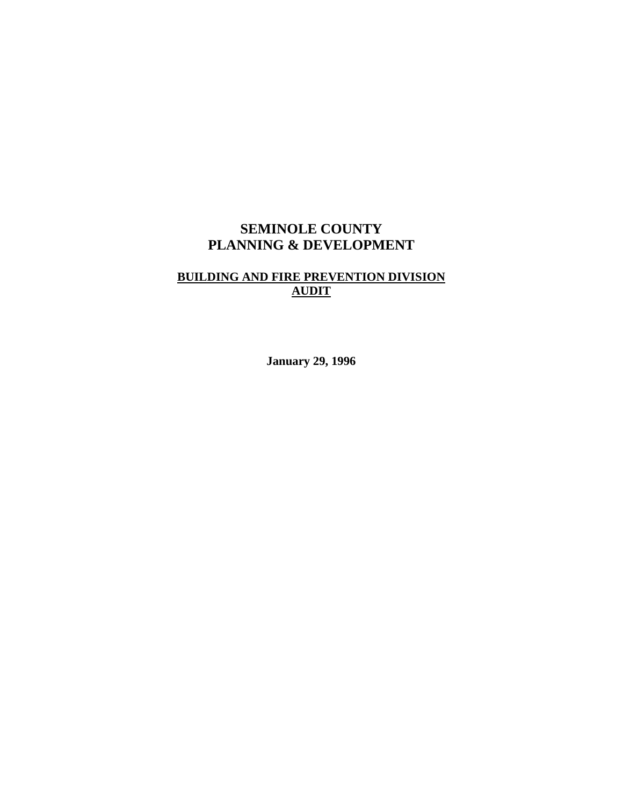# **SEMINOLE COUNTY PLANNING & DEVELOPMENT**

# **BUILDING AND FIRE PREVENTION DIVISION AUDIT**

**January 29, 1996**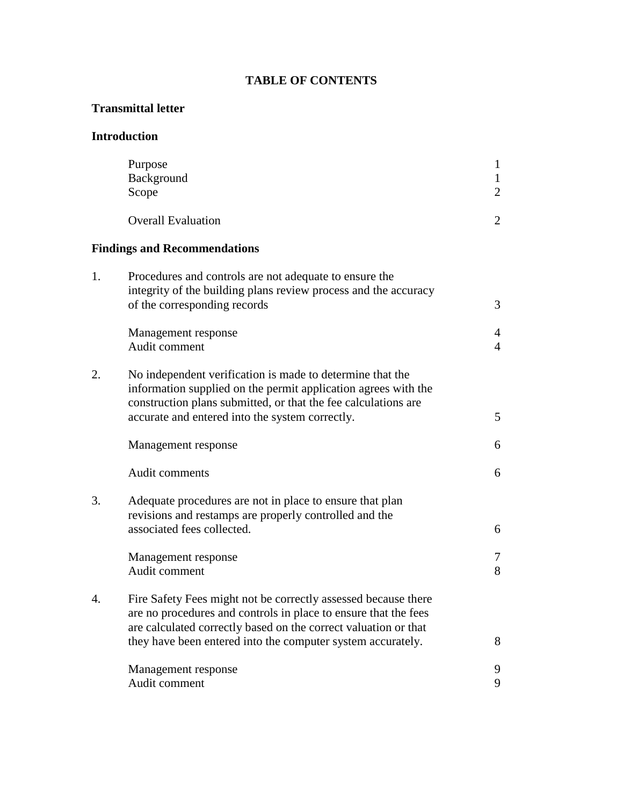# **TABLE OF CONTENTS**

# **Transmittal letter**

# **Introduction**

|    | Purpose<br>Background<br>Scope                                                                                                                                                                                                                   | $\mathbf{1}$<br>$\mathbf{1}$<br>$\overline{2}$ |
|----|--------------------------------------------------------------------------------------------------------------------------------------------------------------------------------------------------------------------------------------------------|------------------------------------------------|
|    | <b>Overall Evaluation</b>                                                                                                                                                                                                                        | $\overline{2}$                                 |
|    | <b>Findings and Recommendations</b>                                                                                                                                                                                                              |                                                |
| 1. | Procedures and controls are not adequate to ensure the<br>integrity of the building plans review process and the accuracy<br>of the corresponding records                                                                                        | 3                                              |
|    | Management response<br>Audit comment                                                                                                                                                                                                             | $\overline{4}$<br>$\overline{4}$               |
| 2. | No independent verification is made to determine that the<br>information supplied on the permit application agrees with the<br>construction plans submitted, or that the fee calculations are<br>accurate and entered into the system correctly. | 5                                              |
|    |                                                                                                                                                                                                                                                  | 6                                              |
|    | Management response                                                                                                                                                                                                                              |                                                |
|    | Audit comments                                                                                                                                                                                                                                   | 6                                              |
| 3. | Adequate procedures are not in place to ensure that plan<br>revisions and restamps are properly controlled and the<br>associated fees collected.                                                                                                 | 6                                              |
|    | Management response<br>Audit comment                                                                                                                                                                                                             | 7<br>8                                         |
| 4. | Fire Safety Fees might not be correctly assessed because there<br>are no procedures and controls in place to ensure that the fees<br>are calculated correctly based on the correct valuation or that                                             |                                                |
|    | they have been entered into the computer system accurately.                                                                                                                                                                                      | 8                                              |
|    | Management response<br>Audit comment                                                                                                                                                                                                             | 9<br>9                                         |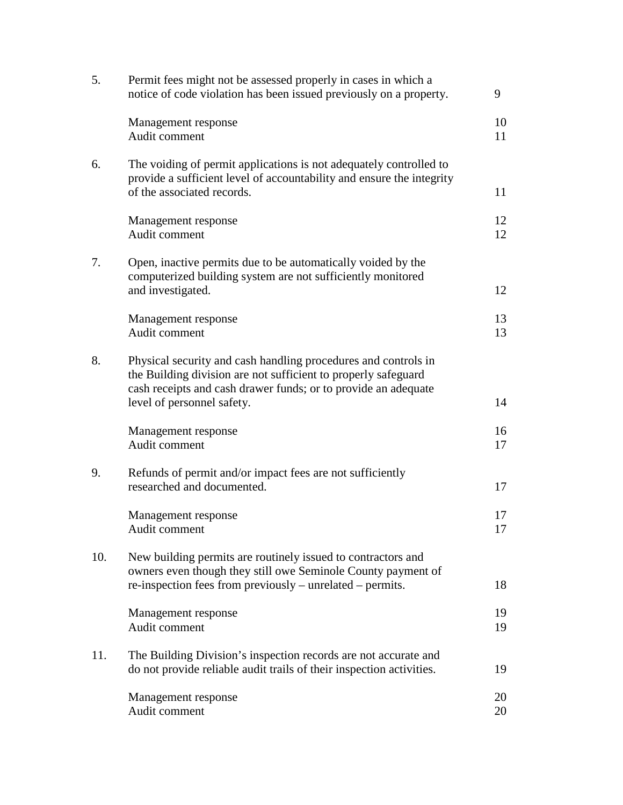| 5.  | Permit fees might not be assessed properly in cases in which a<br>notice of code violation has been issued previously on a property.                                                                                             | 9        |
|-----|----------------------------------------------------------------------------------------------------------------------------------------------------------------------------------------------------------------------------------|----------|
|     | Management response<br>Audit comment                                                                                                                                                                                             | 10<br>11 |
| 6.  | The voiding of permit applications is not adequately controlled to<br>provide a sufficient level of accountability and ensure the integrity<br>of the associated records.                                                        | 11       |
|     | Management response<br>Audit comment                                                                                                                                                                                             | 12<br>12 |
| 7.  | Open, inactive permits due to be automatically voided by the<br>computerized building system are not sufficiently monitored<br>and investigated.                                                                                 | 12       |
|     | Management response<br>Audit comment                                                                                                                                                                                             | 13<br>13 |
| 8.  | Physical security and cash handling procedures and controls in<br>the Building division are not sufficient to properly safeguard<br>cash receipts and cash drawer funds; or to provide an adequate<br>level of personnel safety. | 14       |
|     | Management response<br>Audit comment                                                                                                                                                                                             | 16<br>17 |
| 9.  | Refunds of permit and/or impact fees are not sufficiently<br>researched and documented.                                                                                                                                          | 17       |
|     | Management response<br>Audit comment                                                                                                                                                                                             | 17<br>17 |
| 10. | New building permits are routinely issued to contractors and<br>owners even though they still owe Seminole County payment of<br>re-inspection fees from previously – unrelated – permits.                                        | 18       |
|     | Management response<br>Audit comment                                                                                                                                                                                             | 19<br>19 |
| 11. | The Building Division's inspection records are not accurate and<br>do not provide reliable audit trails of their inspection activities.                                                                                          | 19       |
|     | Management response<br>Audit comment                                                                                                                                                                                             | 20<br>20 |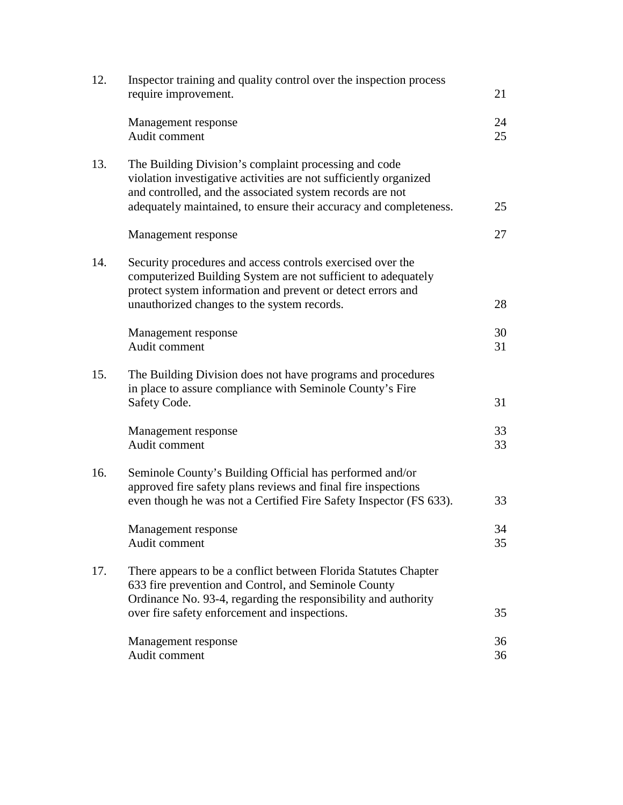| 12. | Inspector training and quality control over the inspection process<br>require improvement.                                                                                                                                                                   | 21       |
|-----|--------------------------------------------------------------------------------------------------------------------------------------------------------------------------------------------------------------------------------------------------------------|----------|
|     | Management response<br>Audit comment                                                                                                                                                                                                                         | 24<br>25 |
| 13. | The Building Division's complaint processing and code<br>violation investigative activities are not sufficiently organized<br>and controlled, and the associated system records are not<br>adequately maintained, to ensure their accuracy and completeness. | 25       |
|     | Management response                                                                                                                                                                                                                                          | 27       |
| 14. | Security procedures and access controls exercised over the<br>computerized Building System are not sufficient to adequately<br>protect system information and prevent or detect errors and<br>unauthorized changes to the system records.                    | 28       |
|     | Management response<br>Audit comment                                                                                                                                                                                                                         | 30<br>31 |
| 15. | The Building Division does not have programs and procedures<br>in place to assure compliance with Seminole County's Fire<br>Safety Code.                                                                                                                     | 31       |
|     | Management response<br>Audit comment                                                                                                                                                                                                                         | 33<br>33 |
| 16. | Seminole County's Building Official has performed and/or<br>approved fire safety plans reviews and final fire inspections<br>even though he was not a Certified Fire Safety Inspector (FS 633).                                                              | 33       |
|     | Management response<br>Audit comment                                                                                                                                                                                                                         | 34<br>35 |
| 17. | There appears to be a conflict between Florida Statutes Chapter<br>633 fire prevention and Control, and Seminole County<br>Ordinance No. 93-4, regarding the responsibility and authority                                                                    |          |
|     | over fire safety enforcement and inspections.                                                                                                                                                                                                                | 35       |
|     | Management response<br>Audit comment                                                                                                                                                                                                                         | 36<br>36 |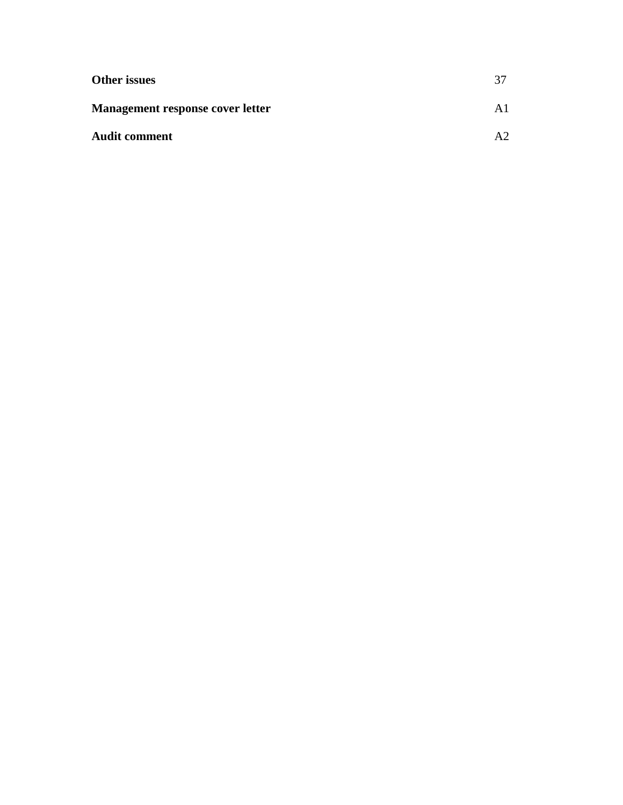| <b>Other issues</b>                     | 37         |
|-----------------------------------------|------------|
| <b>Management response cover letter</b> |            |
| <b>Audit comment</b>                    | $\Delta$ 2 |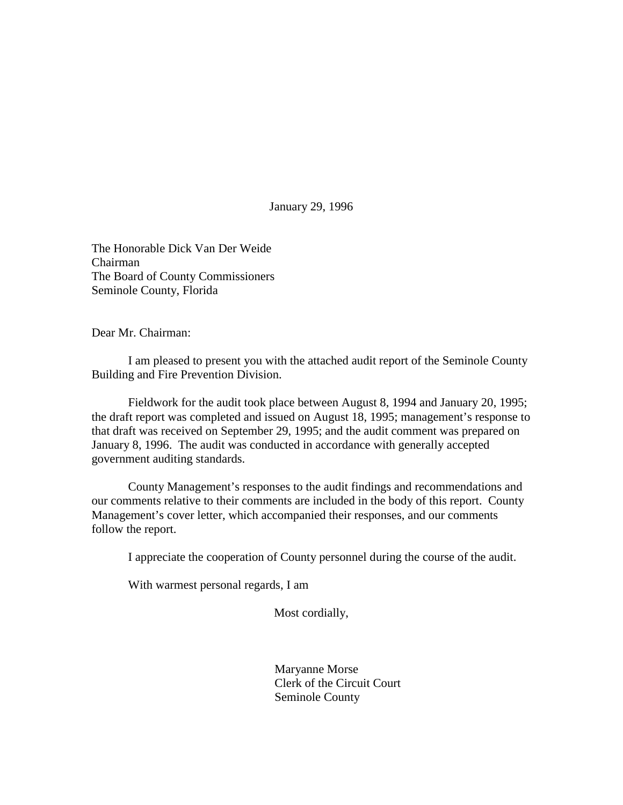January 29, 1996

The Honorable Dick Van Der Weide Chairman The Board of County Commissioners Seminole County, Florida

Dear Mr. Chairman:

 I am pleased to present you with the attached audit report of the Seminole County Building and Fire Prevention Division.

 Fieldwork for the audit took place between August 8, 1994 and January 20, 1995; the draft report was completed and issued on August 18, 1995; management's response to that draft was received on September 29, 1995; and the audit comment was prepared on January 8, 1996. The audit was conducted in accordance with generally accepted government auditing standards.

 County Management's responses to the audit findings and recommendations and our comments relative to their comments are included in the body of this report. County Management's cover letter, which accompanied their responses, and our comments follow the report.

I appreciate the cooperation of County personnel during the course of the audit.

With warmest personal regards, I am

Most cordially,

 Maryanne Morse Clerk of the Circuit Court Seminole County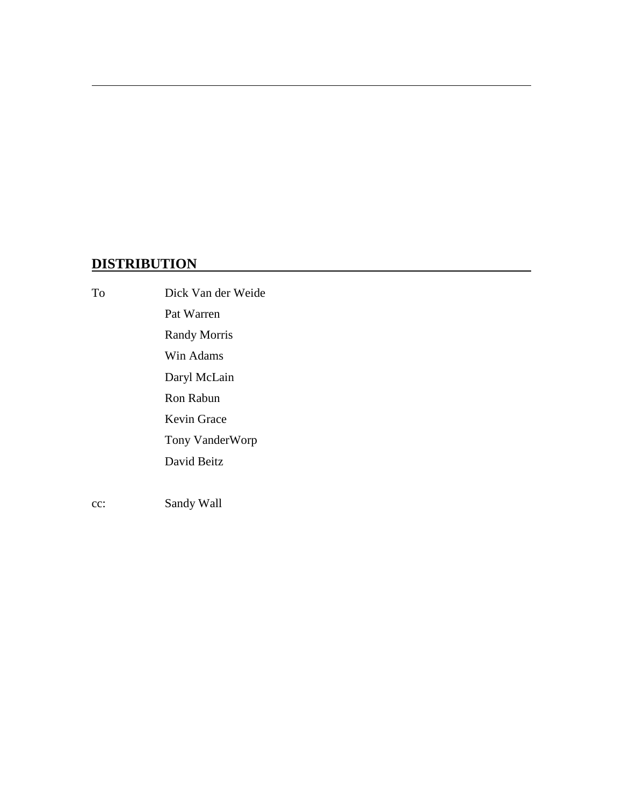# **DISTRIBUTION**

 $\overline{a}$ 

To Dick Van der Weide Pat Warren Randy Morris Win Adams Daryl McLain Ron Rabun Kevin Grace Tony VanderWorp David Beitz cc: Sandy Wall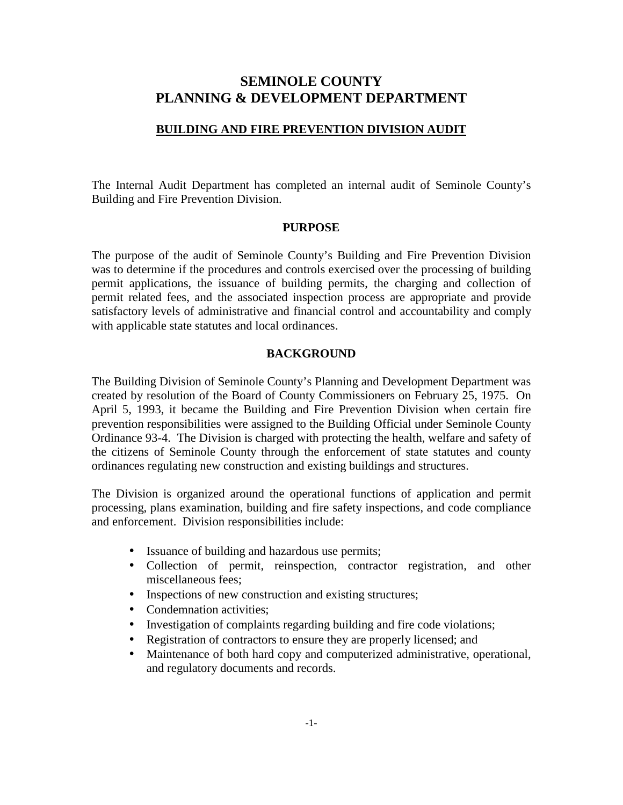# **SEMINOLE COUNTY PLANNING & DEVELOPMENT DEPARTMENT**

## **BUILDING AND FIRE PREVENTION DIVISION AUDIT**

The Internal Audit Department has completed an internal audit of Seminole County's Building and Fire Prevention Division.

#### **PURPOSE**

The purpose of the audit of Seminole County's Building and Fire Prevention Division was to determine if the procedures and controls exercised over the processing of building permit applications, the issuance of building permits, the charging and collection of permit related fees, and the associated inspection process are appropriate and provide satisfactory levels of administrative and financial control and accountability and comply with applicable state statutes and local ordinances.

# **BACKGROUND**

The Building Division of Seminole County's Planning and Development Department was created by resolution of the Board of County Commissioners on February 25, 1975. On April 5, 1993, it became the Building and Fire Prevention Division when certain fire prevention responsibilities were assigned to the Building Official under Seminole County Ordinance 93-4. The Division is charged with protecting the health, welfare and safety of the citizens of Seminole County through the enforcement of state statutes and county ordinances regulating new construction and existing buildings and structures.

The Division is organized around the operational functions of application and permit processing, plans examination, building and fire safety inspections, and code compliance and enforcement. Division responsibilities include:

- Issuance of building and hazardous use permits;
- Collection of permit, reinspection, contractor registration, and other miscellaneous fees;
- Inspections of new construction and existing structures;
- Condemnation activities;
- Investigation of complaints regarding building and fire code violations;
- Registration of contractors to ensure they are properly licensed; and
- Maintenance of both hard copy and computerized administrative, operational, and regulatory documents and records.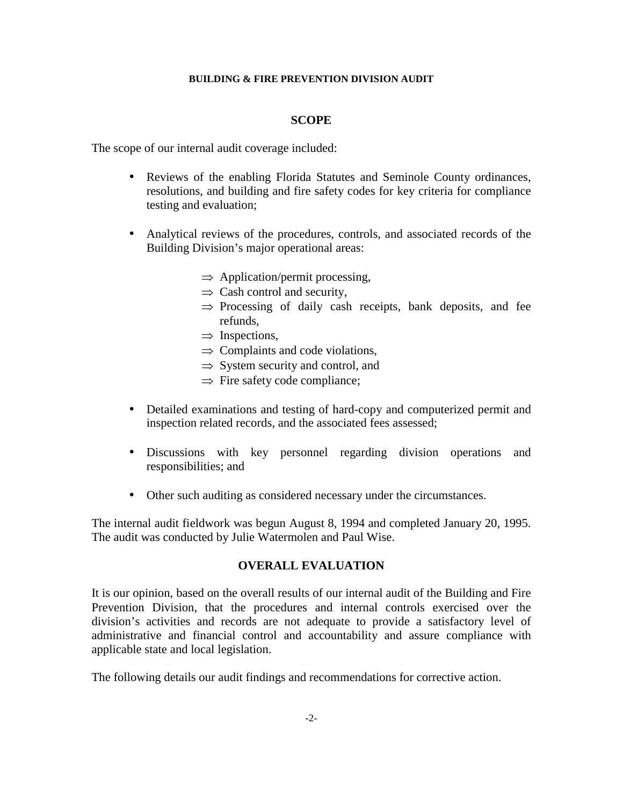#### **SCOPE**

The scope of our internal audit coverage included:

- Reviews of the enabling Florida Statutes and Seminole County ordinances, resolutions, and building and fire safety codes for key criteria for compliance testing and evaluation;
- Analytical reviews of the procedures, controls, and associated records of the Building Division's major operational areas:
	- $\Rightarrow$  Application/permit processing,
	- $\Rightarrow$  Cash control and security,
	- $\Rightarrow$  Processing of daily cash receipts, bank deposits, and fee refunds,
	- $\Rightarrow$  Inspections,
	- $\Rightarrow$  Complaints and code violations,
	- $\Rightarrow$  System security and control, and
	- $\Rightarrow$  Fire safety code compliance;
- Detailed examinations and testing of hard-copy and computerized permit and inspection related records, and the associated fees assessed;
- Discussions with key personnel regarding division operations and responsibilities; and
- Other such auditing as considered necessary under the circumstances.

The internal audit fieldwork was begun August 8, 1994 and completed January 20, 1995. The audit was conducted by Julie Watermolen and Paul Wise.

#### **OVERALL EVALUATION**

It is our opinion, based on the overall results of our internal audit of the Building and Fire Prevention Division, that the procedures and internal controls exercised over the division's activities and records are not adequate to provide a satisfactory level of administrative and financial control and accountability and assure compliance with applicable state and local legislation.

The following details our audit findings and recommendations for corrective action.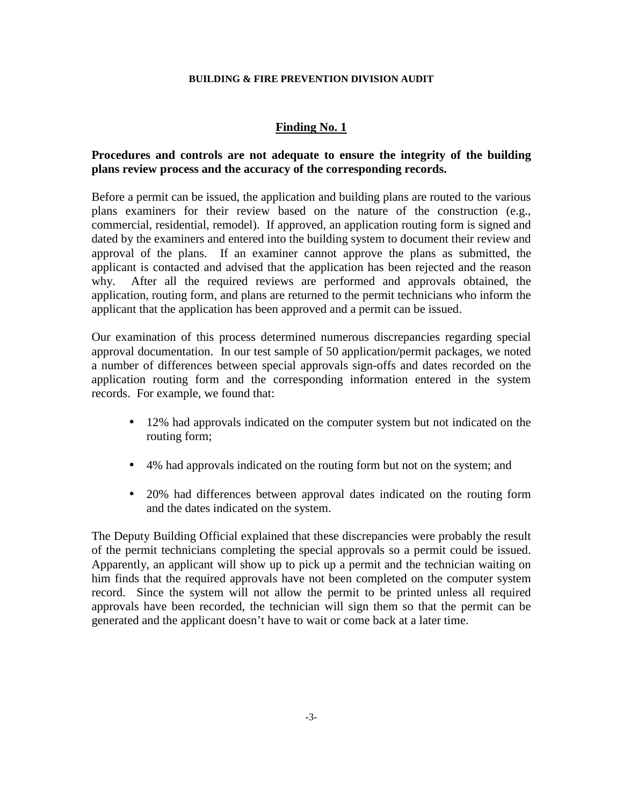# **Finding No. 1**

# **Procedures and controls are not adequate to ensure the integrity of the building plans review process and the accuracy of the corresponding records.**

Before a permit can be issued, the application and building plans are routed to the various plans examiners for their review based on the nature of the construction (e.g., commercial, residential, remodel). If approved, an application routing form is signed and dated by the examiners and entered into the building system to document their review and approval of the plans. If an examiner cannot approve the plans as submitted, the applicant is contacted and advised that the application has been rejected and the reason why. After all the required reviews are performed and approvals obtained, the application, routing form, and plans are returned to the permit technicians who inform the applicant that the application has been approved and a permit can be issued.

Our examination of this process determined numerous discrepancies regarding special approval documentation. In our test sample of 50 application/permit packages, we noted a number of differences between special approvals sign-offs and dates recorded on the application routing form and the corresponding information entered in the system records. For example, we found that:

- 12% had approvals indicated on the computer system but not indicated on the routing form;
- 4% had approvals indicated on the routing form but not on the system; and
- 20% had differences between approval dates indicated on the routing form and the dates indicated on the system.

The Deputy Building Official explained that these discrepancies were probably the result of the permit technicians completing the special approvals so a permit could be issued. Apparently, an applicant will show up to pick up a permit and the technician waiting on him finds that the required approvals have not been completed on the computer system record. Since the system will not allow the permit to be printed unless all required approvals have been recorded, the technician will sign them so that the permit can be generated and the applicant doesn't have to wait or come back at a later time.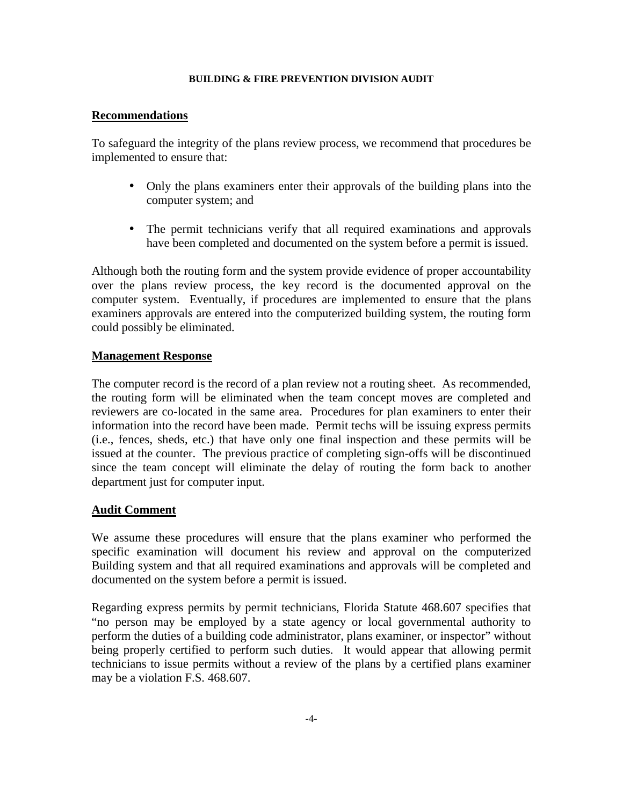# **Recommendations**

To safeguard the integrity of the plans review process, we recommend that procedures be implemented to ensure that:

- Only the plans examiners enter their approvals of the building plans into the computer system; and
- The permit technicians verify that all required examinations and approvals have been completed and documented on the system before a permit is issued.

Although both the routing form and the system provide evidence of proper accountability over the plans review process, the key record is the documented approval on the computer system. Eventually, if procedures are implemented to ensure that the plans examiners approvals are entered into the computerized building system, the routing form could possibly be eliminated.

# **Management Response**

The computer record is the record of a plan review not a routing sheet. As recommended, the routing form will be eliminated when the team concept moves are completed and reviewers are co-located in the same area. Procedures for plan examiners to enter their information into the record have been made. Permit techs will be issuing express permits (i.e., fences, sheds, etc.) that have only one final inspection and these permits will be issued at the counter. The previous practice of completing sign-offs will be discontinued since the team concept will eliminate the delay of routing the form back to another department just for computer input.

# **Audit Comment**

We assume these procedures will ensure that the plans examiner who performed the specific examination will document his review and approval on the computerized Building system and that all required examinations and approvals will be completed and documented on the system before a permit is issued.

Regarding express permits by permit technicians, Florida Statute 468.607 specifies that "no person may be employed by a state agency or local governmental authority to perform the duties of a building code administrator, plans examiner, or inspector" without being properly certified to perform such duties. It would appear that allowing permit technicians to issue permits without a review of the plans by a certified plans examiner may be a violation F.S. 468.607.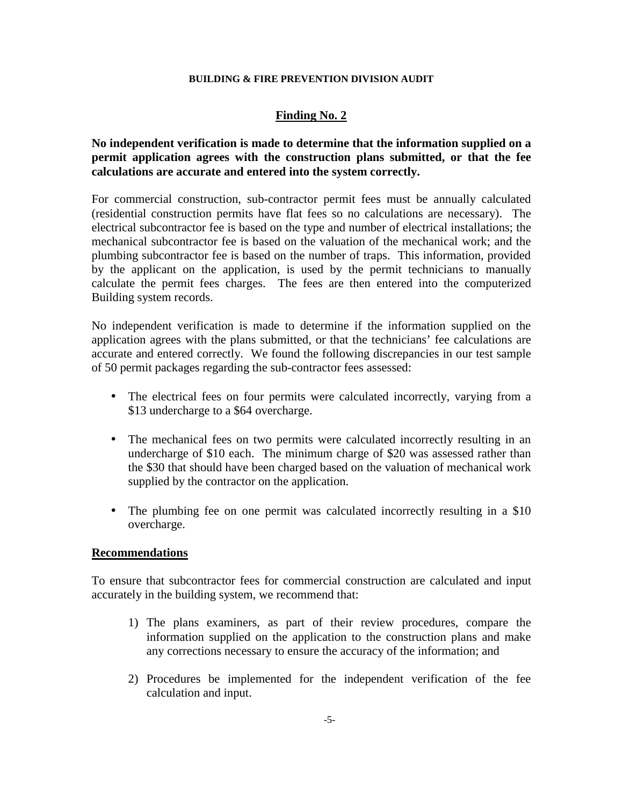# **Finding No. 2**

# **No independent verification is made to determine that the information supplied on a permit application agrees with the construction plans submitted, or that the fee calculations are accurate and entered into the system correctly.**

For commercial construction, sub-contractor permit fees must be annually calculated (residential construction permits have flat fees so no calculations are necessary). The electrical subcontractor fee is based on the type and number of electrical installations; the mechanical subcontractor fee is based on the valuation of the mechanical work; and the plumbing subcontractor fee is based on the number of traps. This information, provided by the applicant on the application, is used by the permit technicians to manually calculate the permit fees charges. The fees are then entered into the computerized Building system records.

No independent verification is made to determine if the information supplied on the application agrees with the plans submitted, or that the technicians' fee calculations are accurate and entered correctly. We found the following discrepancies in our test sample of 50 permit packages regarding the sub-contractor fees assessed:

- The electrical fees on four permits were calculated incorrectly, varying from a \$13 undercharge to a \$64 overcharge.
- The mechanical fees on two permits were calculated incorrectly resulting in an undercharge of \$10 each. The minimum charge of \$20 was assessed rather than the \$30 that should have been charged based on the valuation of mechanical work supplied by the contractor on the application.
- The plumbing fee on one permit was calculated incorrectly resulting in a \$10 overcharge.

#### **Recommendations**

To ensure that subcontractor fees for commercial construction are calculated and input accurately in the building system, we recommend that:

- 1) The plans examiners, as part of their review procedures, compare the information supplied on the application to the construction plans and make any corrections necessary to ensure the accuracy of the information; and
- 2) Procedures be implemented for the independent verification of the fee calculation and input.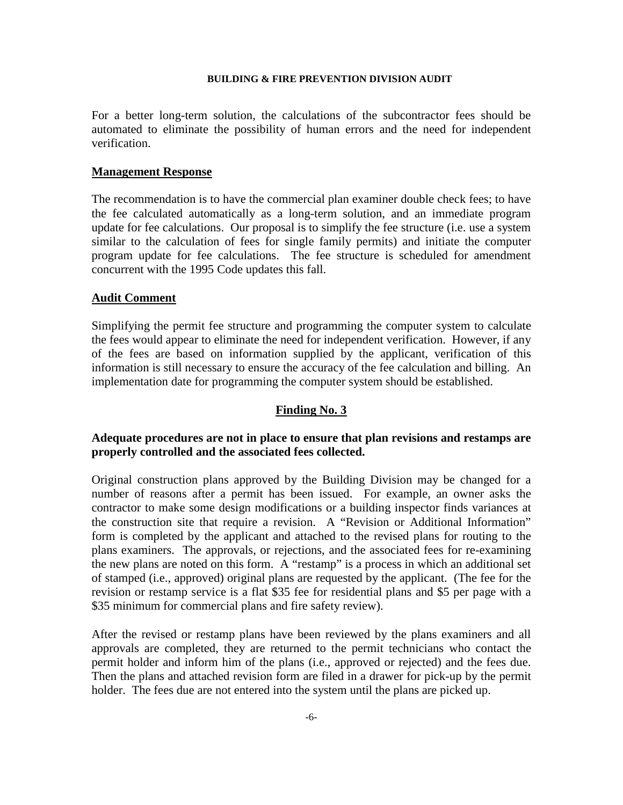For a better long-term solution, the calculations of the subcontractor fees should be automated to eliminate the possibility of human errors and the need for independent verification.

#### **Management Response**

The recommendation is to have the commercial plan examiner double check fees; to have the fee calculated automatically as a long-term solution, and an immediate program update for fee calculations. Our proposal is to simplify the fee structure (i.e. use a system similar to the calculation of fees for single family permits) and initiate the computer program update for fee calculations. The fee structure is scheduled for amendment concurrent with the 1995 Code updates this fall.

#### **Audit Comment**

Simplifying the permit fee structure and programming the computer system to calculate the fees would appear to eliminate the need for independent verification. However, if any of the fees are based on information supplied by the applicant, verification of this information is still necessary to ensure the accuracy of the fee calculation and billing. An implementation date for programming the computer system should be established.

#### **Finding No. 3**

# **Adequate procedures are not in place to ensure that plan revisions and restamps are properly controlled and the associated fees collected.**

Original construction plans approved by the Building Division may be changed for a number of reasons after a permit has been issued. For example, an owner asks the contractor to make some design modifications or a building inspector finds variances at the construction site that require a revision. A "Revision or Additional Information" form is completed by the applicant and attached to the revised plans for routing to the plans examiners. The approvals, or rejections, and the associated fees for re-examining the new plans are noted on this form. A "restamp" is a process in which an additional set of stamped (i.e., approved) original plans are requested by the applicant. (The fee for the revision or restamp service is a flat \$35 fee for residential plans and \$5 per page with a \$35 minimum for commercial plans and fire safety review).

After the revised or restamp plans have been reviewed by the plans examiners and all approvals are completed, they are returned to the permit technicians who contact the permit holder and inform him of the plans (i.e., approved or rejected) and the fees due. Then the plans and attached revision form are filed in a drawer for pick-up by the permit holder. The fees due are not entered into the system until the plans are picked up.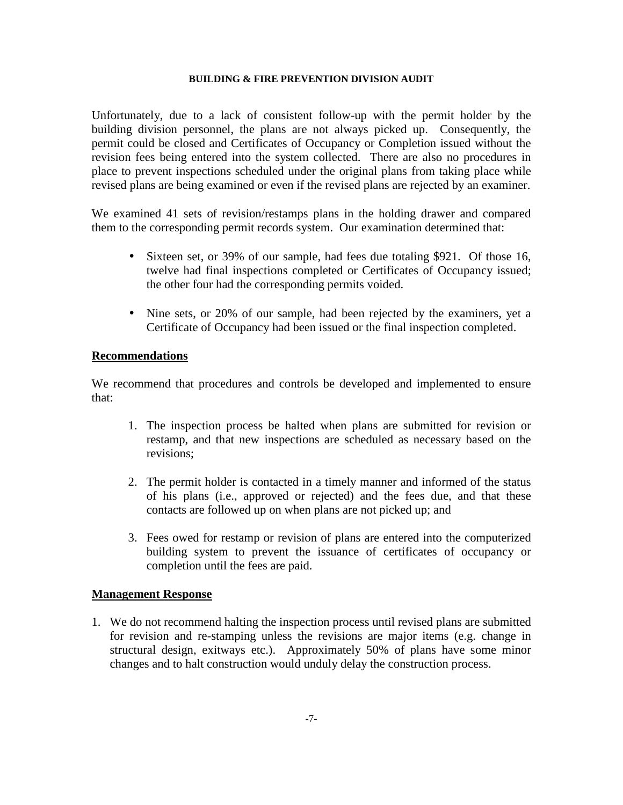Unfortunately, due to a lack of consistent follow-up with the permit holder by the building division personnel, the plans are not always picked up. Consequently, the permit could be closed and Certificates of Occupancy or Completion issued without the revision fees being entered into the system collected. There are also no procedures in place to prevent inspections scheduled under the original plans from taking place while revised plans are being examined or even if the revised plans are rejected by an examiner.

We examined 41 sets of revision/restamps plans in the holding drawer and compared them to the corresponding permit records system. Our examination determined that:

- Sixteen set, or 39% of our sample, had fees due totaling \$921. Of those 16, twelve had final inspections completed or Certificates of Occupancy issued; the other four had the corresponding permits voided.
- Nine sets, or 20% of our sample, had been rejected by the examiners, yet a Certificate of Occupancy had been issued or the final inspection completed.

#### **Recommendations**

We recommend that procedures and controls be developed and implemented to ensure that:

- 1. The inspection process be halted when plans are submitted for revision or restamp, and that new inspections are scheduled as necessary based on the revisions;
- 2. The permit holder is contacted in a timely manner and informed of the status of his plans (i.e., approved or rejected) and the fees due, and that these contacts are followed up on when plans are not picked up; and
- 3. Fees owed for restamp or revision of plans are entered into the computerized building system to prevent the issuance of certificates of occupancy or completion until the fees are paid.

#### **Management Response**

1. We do not recommend halting the inspection process until revised plans are submitted for revision and re-stamping unless the revisions are major items (e.g. change in structural design, exitways etc.). Approximately 50% of plans have some minor changes and to halt construction would unduly delay the construction process.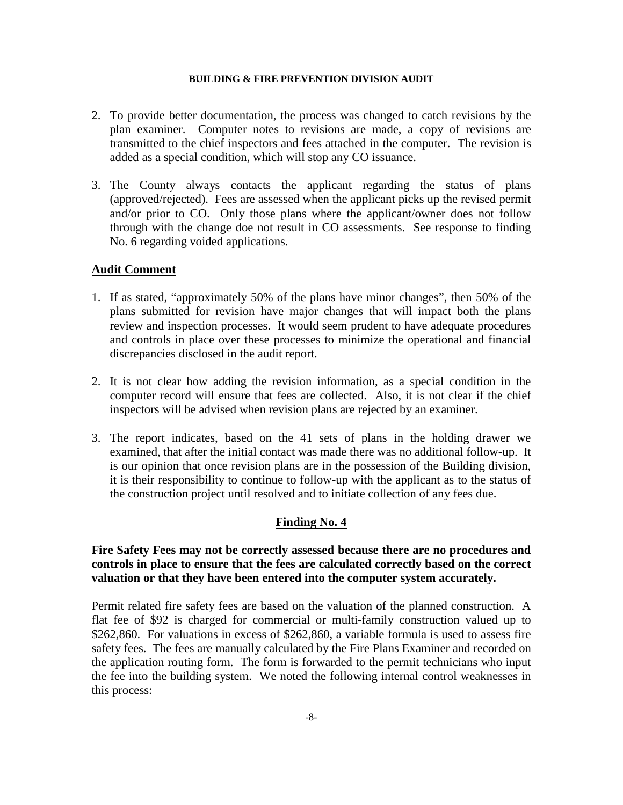- 2. To provide better documentation, the process was changed to catch revisions by the plan examiner. Computer notes to revisions are made, a copy of revisions are transmitted to the chief inspectors and fees attached in the computer. The revision is added as a special condition, which will stop any CO issuance.
- 3. The County always contacts the applicant regarding the status of plans (approved/rejected). Fees are assessed when the applicant picks up the revised permit and/or prior to CO. Only those plans where the applicant/owner does not follow through with the change doe not result in CO assessments. See response to finding No. 6 regarding voided applications.

#### **Audit Comment**

- 1. If as stated, "approximately 50% of the plans have minor changes", then 50% of the plans submitted for revision have major changes that will impact both the plans review and inspection processes. It would seem prudent to have adequate procedures and controls in place over these processes to minimize the operational and financial discrepancies disclosed in the audit report.
- 2. It is not clear how adding the revision information, as a special condition in the computer record will ensure that fees are collected. Also, it is not clear if the chief inspectors will be advised when revision plans are rejected by an examiner.
- 3. The report indicates, based on the 41 sets of plans in the holding drawer we examined, that after the initial contact was made there was no additional follow-up. It is our opinion that once revision plans are in the possession of the Building division, it is their responsibility to continue to follow-up with the applicant as to the status of the construction project until resolved and to initiate collection of any fees due.

# **Finding No. 4**

# **Fire Safety Fees may not be correctly assessed because there are no procedures and controls in place to ensure that the fees are calculated correctly based on the correct valuation or that they have been entered into the computer system accurately.**

Permit related fire safety fees are based on the valuation of the planned construction. A flat fee of \$92 is charged for commercial or multi-family construction valued up to \$262,860. For valuations in excess of \$262,860, a variable formula is used to assess fire safety fees. The fees are manually calculated by the Fire Plans Examiner and recorded on the application routing form. The form is forwarded to the permit technicians who input the fee into the building system. We noted the following internal control weaknesses in this process: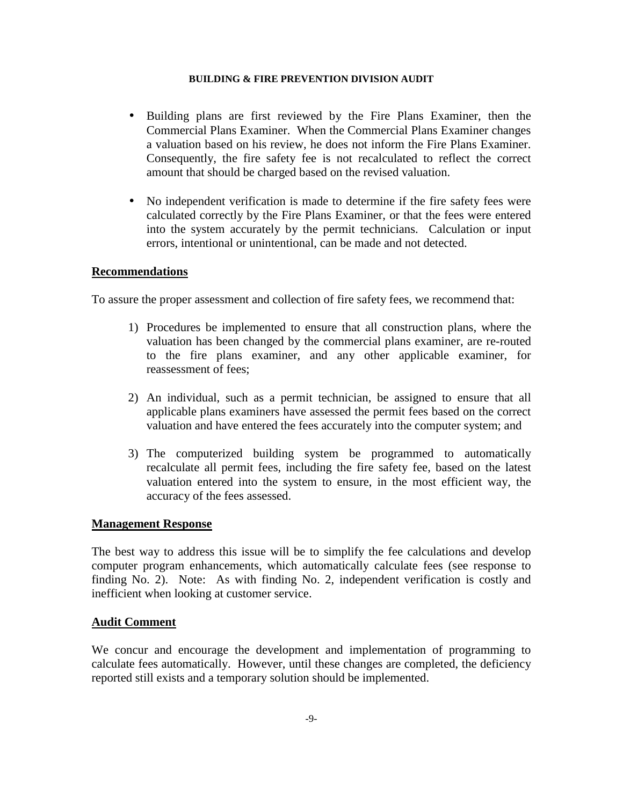- Building plans are first reviewed by the Fire Plans Examiner, then the Commercial Plans Examiner. When the Commercial Plans Examiner changes a valuation based on his review, he does not inform the Fire Plans Examiner. Consequently, the fire safety fee is not recalculated to reflect the correct amount that should be charged based on the revised valuation.
- No independent verification is made to determine if the fire safety fees were calculated correctly by the Fire Plans Examiner, or that the fees were entered into the system accurately by the permit technicians. Calculation or input errors, intentional or unintentional, can be made and not detected.

#### **Recommendations**

To assure the proper assessment and collection of fire safety fees, we recommend that:

- 1) Procedures be implemented to ensure that all construction plans, where the valuation has been changed by the commercial plans examiner, are re-routed to the fire plans examiner, and any other applicable examiner, for reassessment of fees;
- 2) An individual, such as a permit technician, be assigned to ensure that all applicable plans examiners have assessed the permit fees based on the correct valuation and have entered the fees accurately into the computer system; and
- 3) The computerized building system be programmed to automatically recalculate all permit fees, including the fire safety fee, based on the latest valuation entered into the system to ensure, in the most efficient way, the accuracy of the fees assessed.

#### **Management Response**

The best way to address this issue will be to simplify the fee calculations and develop computer program enhancements, which automatically calculate fees (see response to finding No. 2). Note: As with finding No. 2, independent verification is costly and inefficient when looking at customer service.

#### **Audit Comment**

We concur and encourage the development and implementation of programming to calculate fees automatically. However, until these changes are completed, the deficiency reported still exists and a temporary solution should be implemented.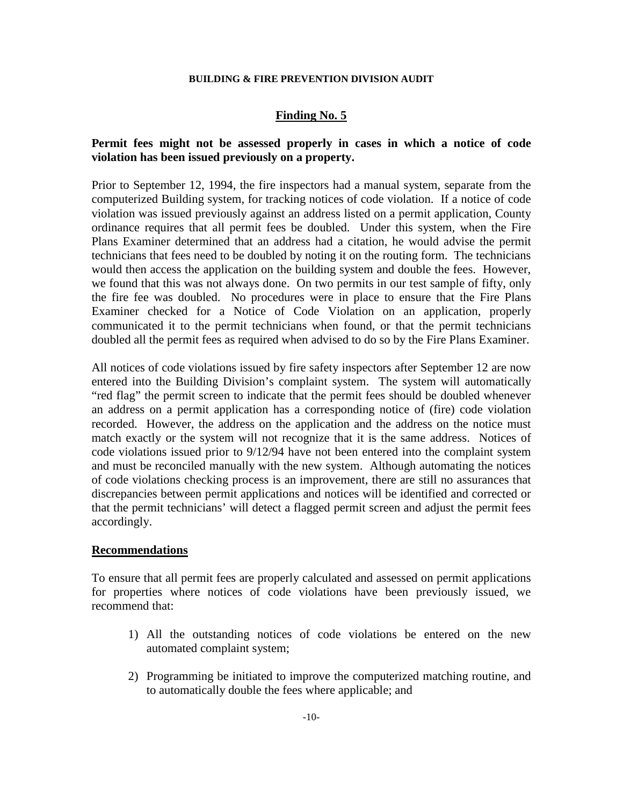## **Finding No. 5**

# **Permit fees might not be assessed properly in cases in which a notice of code violation has been issued previously on a property.**

Prior to September 12, 1994, the fire inspectors had a manual system, separate from the computerized Building system, for tracking notices of code violation. If a notice of code violation was issued previously against an address listed on a permit application, County ordinance requires that all permit fees be doubled. Under this system, when the Fire Plans Examiner determined that an address had a citation, he would advise the permit technicians that fees need to be doubled by noting it on the routing form. The technicians would then access the application on the building system and double the fees. However, we found that this was not always done. On two permits in our test sample of fifty, only the fire fee was doubled. No procedures were in place to ensure that the Fire Plans Examiner checked for a Notice of Code Violation on an application, properly communicated it to the permit technicians when found, or that the permit technicians doubled all the permit fees as required when advised to do so by the Fire Plans Examiner.

All notices of code violations issued by fire safety inspectors after September 12 are now entered into the Building Division's complaint system. The system will automatically "red flag" the permit screen to indicate that the permit fees should be doubled whenever an address on a permit application has a corresponding notice of (fire) code violation recorded. However, the address on the application and the address on the notice must match exactly or the system will not recognize that it is the same address. Notices of code violations issued prior to 9/12/94 have not been entered into the complaint system and must be reconciled manually with the new system. Although automating the notices of code violations checking process is an improvement, there are still no assurances that discrepancies between permit applications and notices will be identified and corrected or that the permit technicians' will detect a flagged permit screen and adjust the permit fees accordingly.

#### **Recommendations**

To ensure that all permit fees are properly calculated and assessed on permit applications for properties where notices of code violations have been previously issued, we recommend that:

- 1) All the outstanding notices of code violations be entered on the new automated complaint system;
- 2) Programming be initiated to improve the computerized matching routine, and to automatically double the fees where applicable; and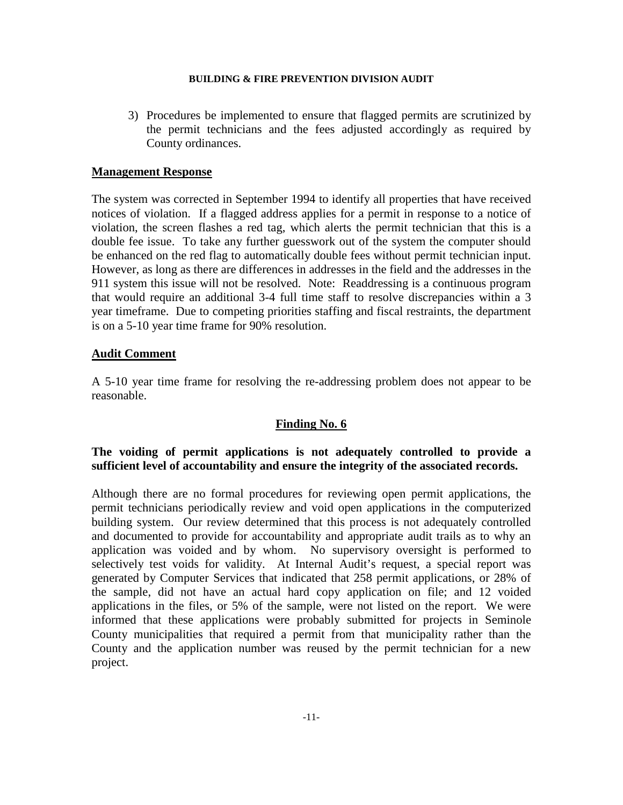3) Procedures be implemented to ensure that flagged permits are scrutinized by the permit technicians and the fees adjusted accordingly as required by County ordinances.

## **Management Response**

The system was corrected in September 1994 to identify all properties that have received notices of violation. If a flagged address applies for a permit in response to a notice of violation, the screen flashes a red tag, which alerts the permit technician that this is a double fee issue. To take any further guesswork out of the system the computer should be enhanced on the red flag to automatically double fees without permit technician input. However, as long as there are differences in addresses in the field and the addresses in the 911 system this issue will not be resolved. Note: Readdressing is a continuous program that would require an additional 3-4 full time staff to resolve discrepancies within a 3 year timeframe. Due to competing priorities staffing and fiscal restraints, the department is on a 5-10 year time frame for 90% resolution.

# **Audit Comment**

A 5-10 year time frame for resolving the re-addressing problem does not appear to be reasonable.

# **Finding No. 6**

# **The voiding of permit applications is not adequately controlled to provide a sufficient level of accountability and ensure the integrity of the associated records.**

Although there are no formal procedures for reviewing open permit applications, the permit technicians periodically review and void open applications in the computerized building system. Our review determined that this process is not adequately controlled and documented to provide for accountability and appropriate audit trails as to why an application was voided and by whom. No supervisory oversight is performed to selectively test voids for validity. At Internal Audit's request, a special report was generated by Computer Services that indicated that 258 permit applications, or 28% of the sample, did not have an actual hard copy application on file; and 12 voided applications in the files, or 5% of the sample, were not listed on the report. We were informed that these applications were probably submitted for projects in Seminole County municipalities that required a permit from that municipality rather than the County and the application number was reused by the permit technician for a new project.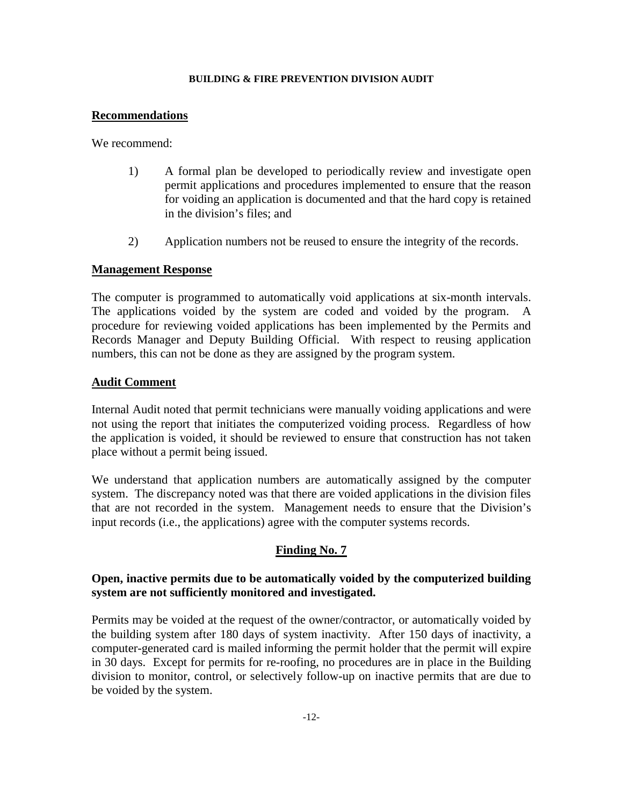#### **Recommendations**

We recommend:

- 1) A formal plan be developed to periodically review and investigate open permit applications and procedures implemented to ensure that the reason for voiding an application is documented and that the hard copy is retained in the division's files; and
- 2) Application numbers not be reused to ensure the integrity of the records.

#### **Management Response**

The computer is programmed to automatically void applications at six-month intervals. The applications voided by the system are coded and voided by the program. procedure for reviewing voided applications has been implemented by the Permits and Records Manager and Deputy Building Official. With respect to reusing application numbers, this can not be done as they are assigned by the program system.

#### **Audit Comment**

Internal Audit noted that permit technicians were manually voiding applications and were not using the report that initiates the computerized voiding process. Regardless of how the application is voided, it should be reviewed to ensure that construction has not taken place without a permit being issued.

We understand that application numbers are automatically assigned by the computer system. The discrepancy noted was that there are voided applications in the division files that are not recorded in the system. Management needs to ensure that the Division's input records (i.e., the applications) agree with the computer systems records.

# **Finding No. 7**

# **Open, inactive permits due to be automatically voided by the computerized building system are not sufficiently monitored and investigated.**

Permits may be voided at the request of the owner/contractor, or automatically voided by the building system after 180 days of system inactivity. After 150 days of inactivity, a computer-generated card is mailed informing the permit holder that the permit will expire in 30 days. Except for permits for re-roofing, no procedures are in place in the Building division to monitor, control, or selectively follow-up on inactive permits that are due to be voided by the system.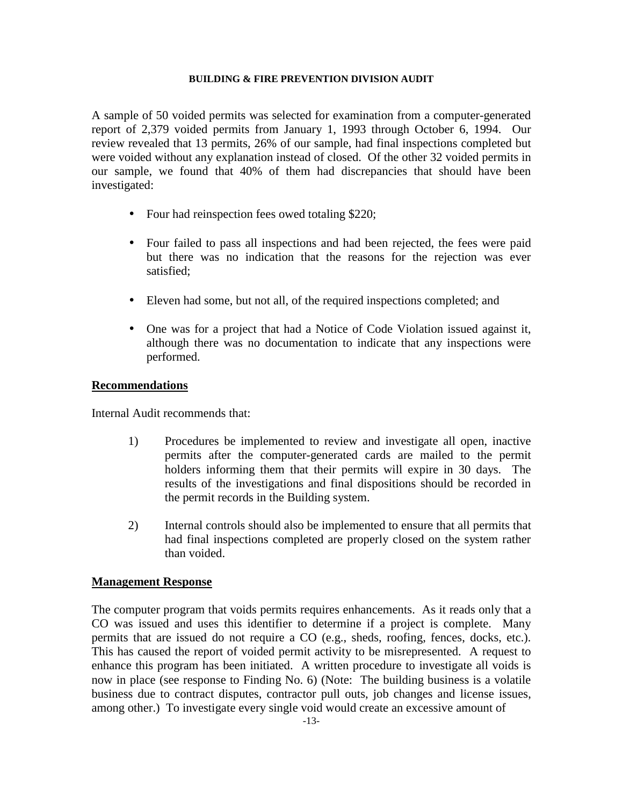A sample of 50 voided permits was selected for examination from a computer-generated report of 2,379 voided permits from January 1, 1993 through October 6, 1994. Our review revealed that 13 permits, 26% of our sample, had final inspections completed but were voided without any explanation instead of closed. Of the other 32 voided permits in our sample, we found that 40% of them had discrepancies that should have been investigated:

- Four had reinspection fees owed totaling \$220;
- Four failed to pass all inspections and had been rejected, the fees were paid but there was no indication that the reasons for the rejection was ever satisfied;
- Eleven had some, but not all, of the required inspections completed; and
- One was for a project that had a Notice of Code Violation issued against it, although there was no documentation to indicate that any inspections were performed.

# **Recommendations**

Internal Audit recommends that:

- 1) Procedures be implemented to review and investigate all open, inactive permits after the computer-generated cards are mailed to the permit holders informing them that their permits will expire in 30 days. The results of the investigations and final dispositions should be recorded in the permit records in the Building system.
- 2) Internal controls should also be implemented to ensure that all permits that had final inspections completed are properly closed on the system rather than voided.

# **Management Response**

The computer program that voids permits requires enhancements. As it reads only that a CO was issued and uses this identifier to determine if a project is complete. Many permits that are issued do not require a CO (e.g., sheds, roofing, fences, docks, etc.). This has caused the report of voided permit activity to be misrepresented. A request to enhance this program has been initiated. A written procedure to investigate all voids is now in place (see response to Finding No. 6) (Note: The building business is a volatile business due to contract disputes, contractor pull outs, job changes and license issues, among other.) To investigate every single void would create an excessive amount of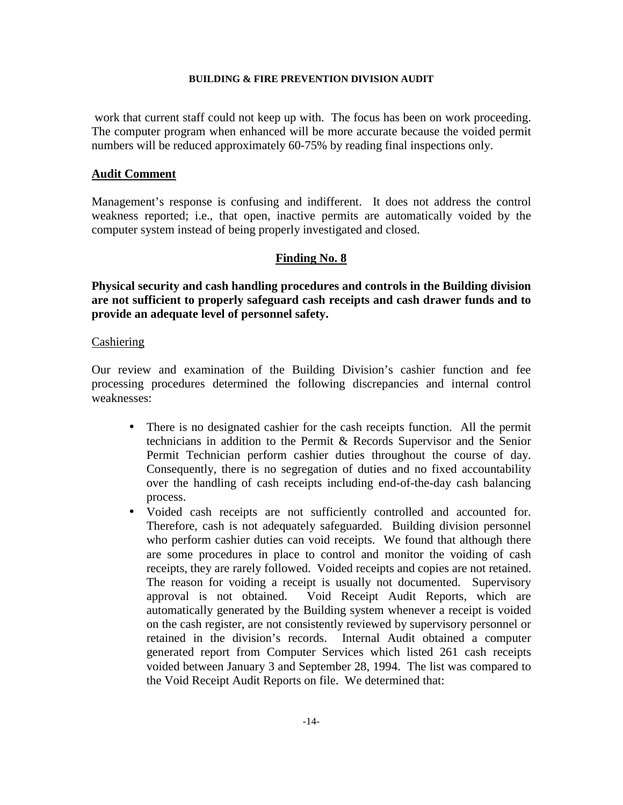work that current staff could not keep up with. The focus has been on work proceeding. The computer program when enhanced will be more accurate because the voided permit numbers will be reduced approximately 60-75% by reading final inspections only.

#### **Audit Comment**

Management's response is confusing and indifferent. It does not address the control weakness reported; i.e., that open, inactive permits are automatically voided by the computer system instead of being properly investigated and closed.

# **Finding No. 8**

**Physical security and cash handling procedures and controls in the Building division are not sufficient to properly safeguard cash receipts and cash drawer funds and to provide an adequate level of personnel safety.** 

#### **Cashiering**

Our review and examination of the Building Division's cashier function and fee processing procedures determined the following discrepancies and internal control weaknesses:

- There is no designated cashier for the cash receipts function. All the permit technicians in addition to the Permit & Records Supervisor and the Senior Permit Technician perform cashier duties throughout the course of day. Consequently, there is no segregation of duties and no fixed accountability over the handling of cash receipts including end-of-the-day cash balancing process.
- Voided cash receipts are not sufficiently controlled and accounted for. Therefore, cash is not adequately safeguarded. Building division personnel who perform cashier duties can void receipts. We found that although there are some procedures in place to control and monitor the voiding of cash receipts, they are rarely followed. Voided receipts and copies are not retained. The reason for voiding a receipt is usually not documented. Supervisory approval is not obtained. Void Receipt Audit Reports, which are automatically generated by the Building system whenever a receipt is voided on the cash register, are not consistently reviewed by supervisory personnel or retained in the division's records. Internal Audit obtained a computer generated report from Computer Services which listed 261 cash receipts voided between January 3 and September 28, 1994. The list was compared to the Void Receipt Audit Reports on file. We determined that: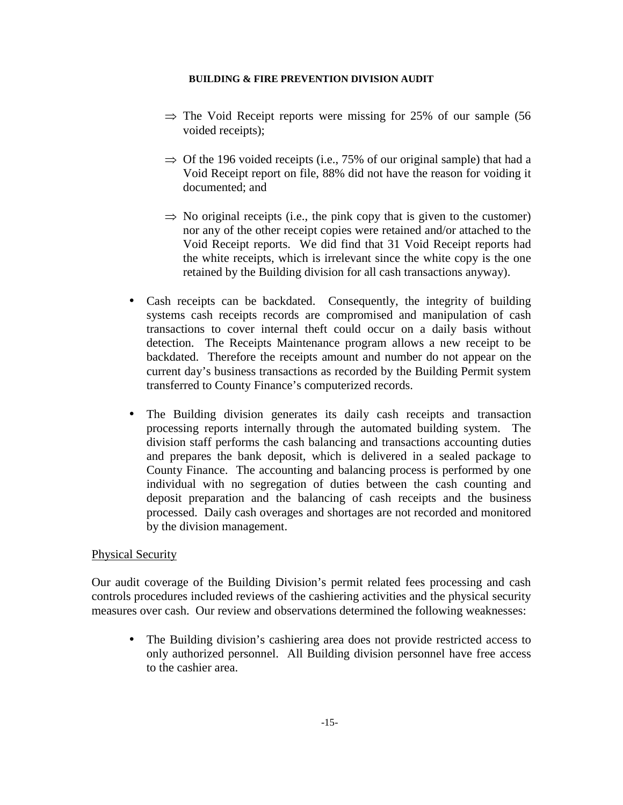- $\Rightarrow$  The Void Receipt reports were missing for 25% of our sample (56 voided receipts);
- $\Rightarrow$  Of the 196 voided receipts (i.e., 75% of our original sample) that had a Void Receipt report on file, 88% did not have the reason for voiding it documented; and
- $\Rightarrow$  No original receipts (i.e., the pink copy that is given to the customer) nor any of the other receipt copies were retained and/or attached to the Void Receipt reports. We did find that 31 Void Receipt reports had the white receipts, which is irrelevant since the white copy is the one retained by the Building division for all cash transactions anyway).
- Cash receipts can be backdated. Consequently, the integrity of building systems cash receipts records are compromised and manipulation of cash transactions to cover internal theft could occur on a daily basis without detection. The Receipts Maintenance program allows a new receipt to be backdated. Therefore the receipts amount and number do not appear on the current day's business transactions as recorded by the Building Permit system transferred to County Finance's computerized records.
- The Building division generates its daily cash receipts and transaction processing reports internally through the automated building system. The division staff performs the cash balancing and transactions accounting duties and prepares the bank deposit, which is delivered in a sealed package to County Finance. The accounting and balancing process is performed by one individual with no segregation of duties between the cash counting and deposit preparation and the balancing of cash receipts and the business processed. Daily cash overages and shortages are not recorded and monitored by the division management.

# Physical Security

Our audit coverage of the Building Division's permit related fees processing and cash controls procedures included reviews of the cashiering activities and the physical security measures over cash. Our review and observations determined the following weaknesses:

• The Building division's cashiering area does not provide restricted access to only authorized personnel. All Building division personnel have free access to the cashier area.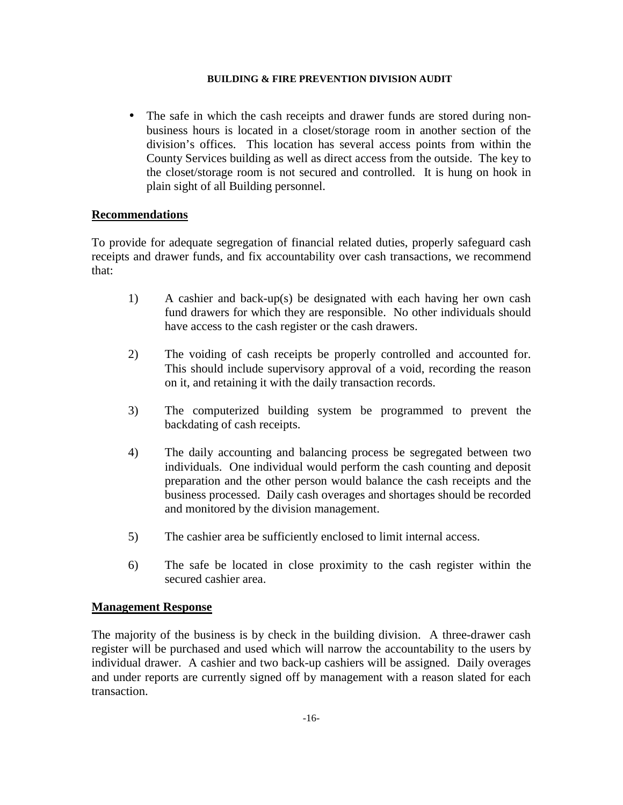• The safe in which the cash receipts and drawer funds are stored during nonbusiness hours is located in a closet/storage room in another section of the division's offices. This location has several access points from within the County Services building as well as direct access from the outside. The key to the closet/storage room is not secured and controlled. It is hung on hook in plain sight of all Building personnel.

# **Recommendations**

To provide for adequate segregation of financial related duties, properly safeguard cash receipts and drawer funds, and fix accountability over cash transactions, we recommend that:

- 1) A cashier and back-up(s) be designated with each having her own cash fund drawers for which they are responsible. No other individuals should have access to the cash register or the cash drawers.
- 2) The voiding of cash receipts be properly controlled and accounted for. This should include supervisory approval of a void, recording the reason on it, and retaining it with the daily transaction records.
- 3) The computerized building system be programmed to prevent the backdating of cash receipts.
- 4) The daily accounting and balancing process be segregated between two individuals. One individual would perform the cash counting and deposit preparation and the other person would balance the cash receipts and the business processed. Daily cash overages and shortages should be recorded and monitored by the division management.
- 5) The cashier area be sufficiently enclosed to limit internal access.
- 6) The safe be located in close proximity to the cash register within the secured cashier area.

# **Management Response**

The majority of the business is by check in the building division. A three-drawer cash register will be purchased and used which will narrow the accountability to the users by individual drawer. A cashier and two back-up cashiers will be assigned. Daily overages and under reports are currently signed off by management with a reason slated for each transaction.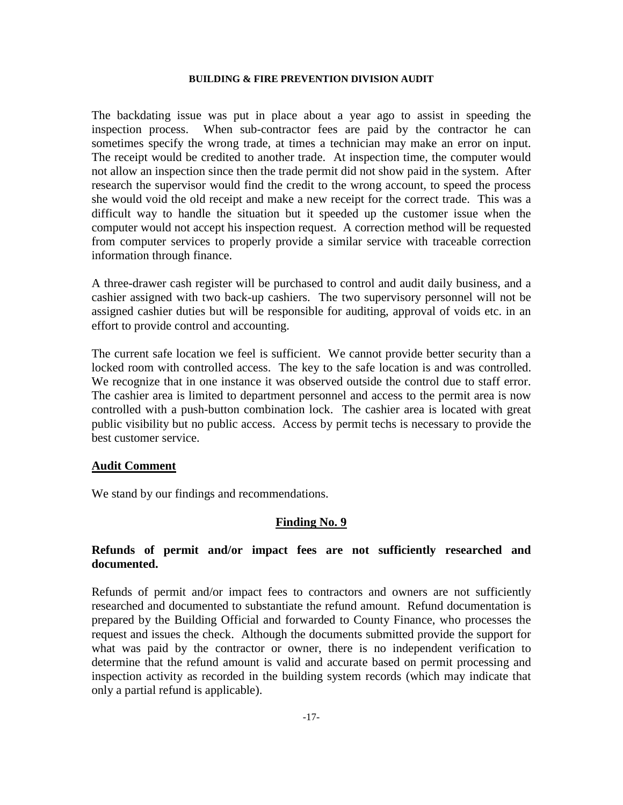The backdating issue was put in place about a year ago to assist in speeding the inspection process. When sub-contractor fees are paid by the contractor he can sometimes specify the wrong trade, at times a technician may make an error on input. The receipt would be credited to another trade. At inspection time, the computer would not allow an inspection since then the trade permit did not show paid in the system. After research the supervisor would find the credit to the wrong account, to speed the process she would void the old receipt and make a new receipt for the correct trade. This was a difficult way to handle the situation but it speeded up the customer issue when the computer would not accept his inspection request. A correction method will be requested from computer services to properly provide a similar service with traceable correction information through finance.

A three-drawer cash register will be purchased to control and audit daily business, and a cashier assigned with two back-up cashiers. The two supervisory personnel will not be assigned cashier duties but will be responsible for auditing, approval of voids etc. in an effort to provide control and accounting.

The current safe location we feel is sufficient. We cannot provide better security than a locked room with controlled access. The key to the safe location is and was controlled. We recognize that in one instance it was observed outside the control due to staff error. The cashier area is limited to department personnel and access to the permit area is now controlled with a push-button combination lock. The cashier area is located with great public visibility but no public access. Access by permit techs is necessary to provide the best customer service.

#### **Audit Comment**

We stand by our findings and recommendations.

#### **Finding No. 9**

#### **Refunds of permit and/or impact fees are not sufficiently researched and documented.**

Refunds of permit and/or impact fees to contractors and owners are not sufficiently researched and documented to substantiate the refund amount. Refund documentation is prepared by the Building Official and forwarded to County Finance, who processes the request and issues the check. Although the documents submitted provide the support for what was paid by the contractor or owner, there is no independent verification to determine that the refund amount is valid and accurate based on permit processing and inspection activity as recorded in the building system records (which may indicate that only a partial refund is applicable).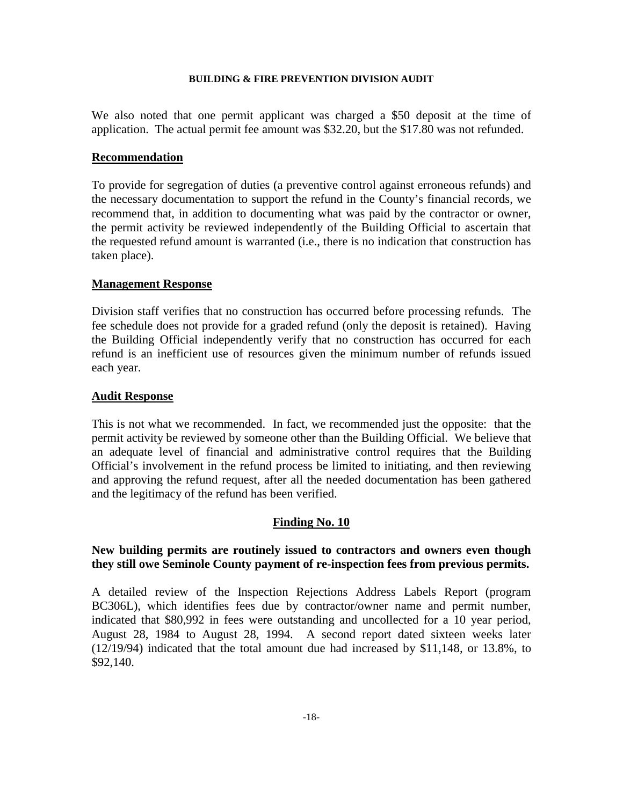We also noted that one permit applicant was charged a \$50 deposit at the time of application. The actual permit fee amount was \$32.20, but the \$17.80 was not refunded.

#### **Recommendation**

To provide for segregation of duties (a preventive control against erroneous refunds) and the necessary documentation to support the refund in the County's financial records, we recommend that, in addition to documenting what was paid by the contractor or owner, the permit activity be reviewed independently of the Building Official to ascertain that the requested refund amount is warranted (i.e., there is no indication that construction has taken place).

#### **Management Response**

Division staff verifies that no construction has occurred before processing refunds. The fee schedule does not provide for a graded refund (only the deposit is retained). Having the Building Official independently verify that no construction has occurred for each refund is an inefficient use of resources given the minimum number of refunds issued each year.

#### **Audit Response**

This is not what we recommended. In fact, we recommended just the opposite: that the permit activity be reviewed by someone other than the Building Official. We believe that an adequate level of financial and administrative control requires that the Building Official's involvement in the refund process be limited to initiating, and then reviewing and approving the refund request, after all the needed documentation has been gathered and the legitimacy of the refund has been verified.

#### **Finding No. 10**

# **New building permits are routinely issued to contractors and owners even though they still owe Seminole County payment of re-inspection fees from previous permits.**

A detailed review of the Inspection Rejections Address Labels Report (program BC306L), which identifies fees due by contractor/owner name and permit number, indicated that \$80,992 in fees were outstanding and uncollected for a 10 year period, August 28, 1984 to August 28, 1994. A second report dated sixteen weeks later (12/19/94) indicated that the total amount due had increased by \$11,148, or 13.8%, to \$92,140.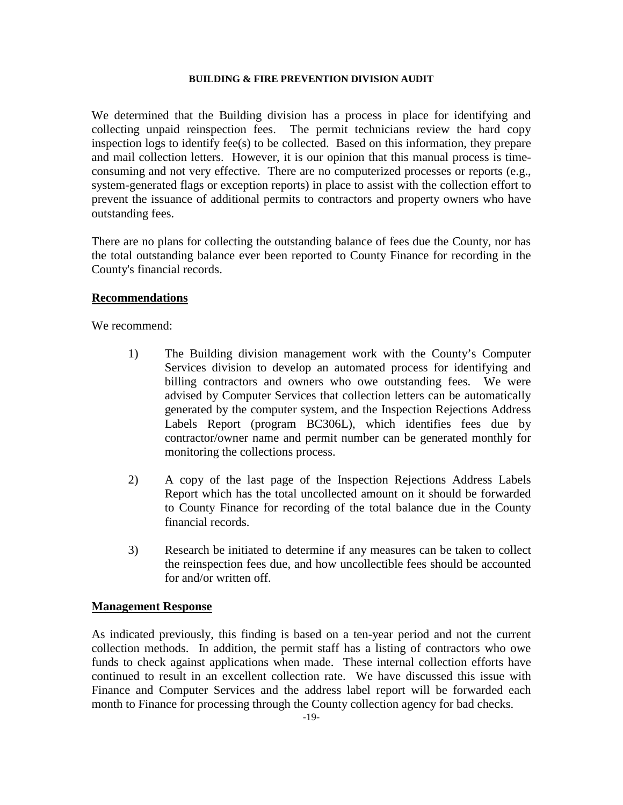We determined that the Building division has a process in place for identifying and collecting unpaid reinspection fees. The permit technicians review the hard copy inspection logs to identify fee(s) to be collected. Based on this information, they prepare and mail collection letters. However, it is our opinion that this manual process is timeconsuming and not very effective. There are no computerized processes or reports (e.g., system-generated flags or exception reports) in place to assist with the collection effort to prevent the issuance of additional permits to contractors and property owners who have outstanding fees.

There are no plans for collecting the outstanding balance of fees due the County, nor has the total outstanding balance ever been reported to County Finance for recording in the County's financial records.

#### **Recommendations**

We recommend:

- 1) The Building division management work with the County's Computer Services division to develop an automated process for identifying and billing contractors and owners who owe outstanding fees. We were advised by Computer Services that collection letters can be automatically generated by the computer system, and the Inspection Rejections Address Labels Report (program BC306L), which identifies fees due by contractor/owner name and permit number can be generated monthly for monitoring the collections process.
- 2) A copy of the last page of the Inspection Rejections Address Labels Report which has the total uncollected amount on it should be forwarded to County Finance for recording of the total balance due in the County financial records.
- 3) Research be initiated to determine if any measures can be taken to collect the reinspection fees due, and how uncollectible fees should be accounted for and/or written off.

#### **Management Response**

As indicated previously, this finding is based on a ten-year period and not the current collection methods. In addition, the permit staff has a listing of contractors who owe funds to check against applications when made. These internal collection efforts have continued to result in an excellent collection rate. We have discussed this issue with Finance and Computer Services and the address label report will be forwarded each month to Finance for processing through the County collection agency for bad checks.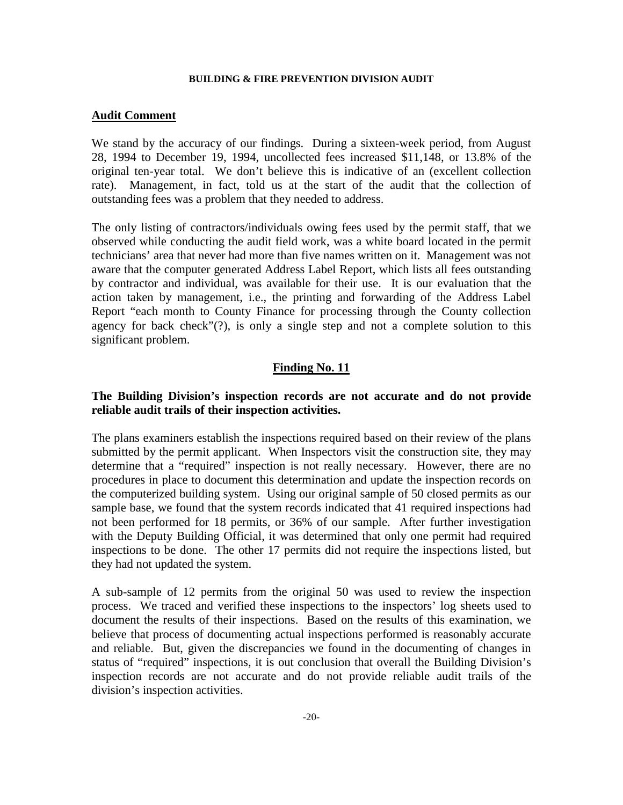#### **Audit Comment**

We stand by the accuracy of our findings. During a sixteen-week period, from August 28, 1994 to December 19, 1994, uncollected fees increased \$11,148, or 13.8% of the original ten-year total. We don't believe this is indicative of an (excellent collection rate). Management, in fact, told us at the start of the audit that the collection of outstanding fees was a problem that they needed to address.

The only listing of contractors/individuals owing fees used by the permit staff, that we observed while conducting the audit field work, was a white board located in the permit technicians' area that never had more than five names written on it. Management was not aware that the computer generated Address Label Report, which lists all fees outstanding by contractor and individual, was available for their use. It is our evaluation that the action taken by management, i.e., the printing and forwarding of the Address Label Report "each month to County Finance for processing through the County collection agency for back check"(?), is only a single step and not a complete solution to this significant problem.

#### **Finding No. 11**

# **The Building Division's inspection records are not accurate and do not provide reliable audit trails of their inspection activities.**

The plans examiners establish the inspections required based on their review of the plans submitted by the permit applicant. When Inspectors visit the construction site, they may determine that a "required" inspection is not really necessary. However, there are no procedures in place to document this determination and update the inspection records on the computerized building system. Using our original sample of 50 closed permits as our sample base, we found that the system records indicated that 41 required inspections had not been performed for 18 permits, or 36% of our sample. After further investigation with the Deputy Building Official, it was determined that only one permit had required inspections to be done. The other 17 permits did not require the inspections listed, but they had not updated the system.

A sub-sample of 12 permits from the original 50 was used to review the inspection process. We traced and verified these inspections to the inspectors' log sheets used to document the results of their inspections. Based on the results of this examination, we believe that process of documenting actual inspections performed is reasonably accurate and reliable. But, given the discrepancies we found in the documenting of changes in status of "required" inspections, it is out conclusion that overall the Building Division's inspection records are not accurate and do not provide reliable audit trails of the division's inspection activities.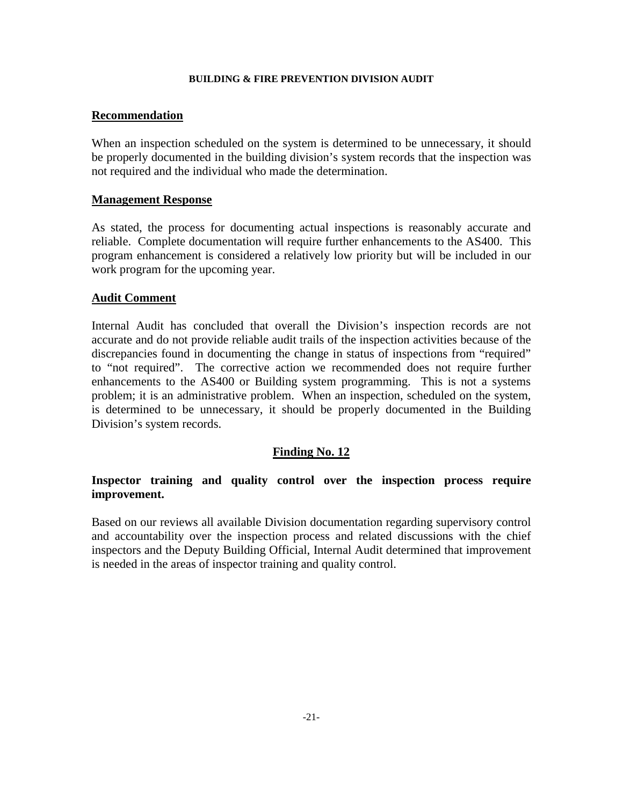#### **Recommendation**

When an inspection scheduled on the system is determined to be unnecessary, it should be properly documented in the building division's system records that the inspection was not required and the individual who made the determination.

#### **Management Response**

As stated, the process for documenting actual inspections is reasonably accurate and reliable. Complete documentation will require further enhancements to the AS400. This program enhancement is considered a relatively low priority but will be included in our work program for the upcoming year.

#### **Audit Comment**

Internal Audit has concluded that overall the Division's inspection records are not accurate and do not provide reliable audit trails of the inspection activities because of the discrepancies found in documenting the change in status of inspections from "required" to "not required". The corrective action we recommended does not require further enhancements to the AS400 or Building system programming. This is not a systems problem; it is an administrative problem. When an inspection, scheduled on the system, is determined to be unnecessary, it should be properly documented in the Building Division's system records.

#### **Finding No. 12**

# **Inspector training and quality control over the inspection process require improvement.**

Based on our reviews all available Division documentation regarding supervisory control and accountability over the inspection process and related discussions with the chief inspectors and the Deputy Building Official, Internal Audit determined that improvement is needed in the areas of inspector training and quality control.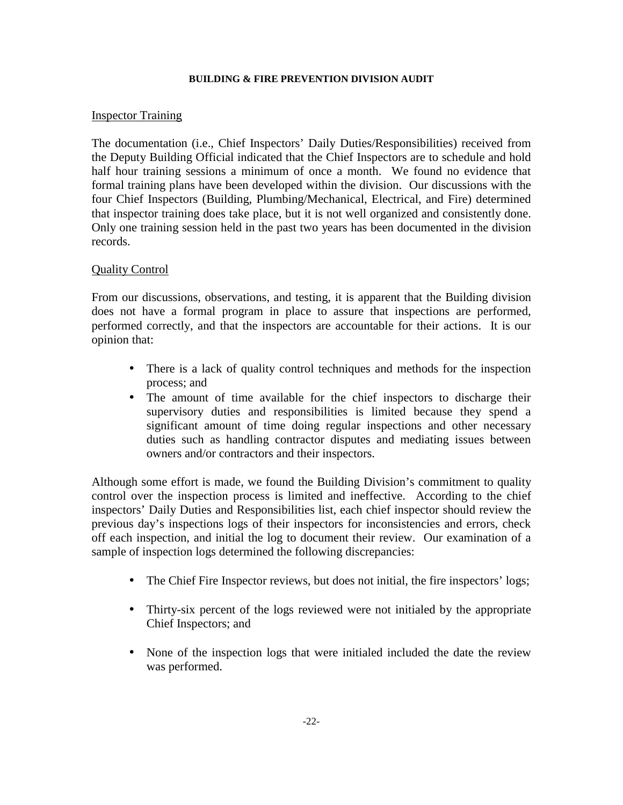# Inspector Training

The documentation (i.e., Chief Inspectors' Daily Duties/Responsibilities) received from the Deputy Building Official indicated that the Chief Inspectors are to schedule and hold half hour training sessions a minimum of once a month. We found no evidence that formal training plans have been developed within the division. Our discussions with the four Chief Inspectors (Building, Plumbing/Mechanical, Electrical, and Fire) determined that inspector training does take place, but it is not well organized and consistently done. Only one training session held in the past two years has been documented in the division records.

# Quality Control

From our discussions, observations, and testing, it is apparent that the Building division does not have a formal program in place to assure that inspections are performed, performed correctly, and that the inspectors are accountable for their actions. It is our opinion that:

- There is a lack of quality control techniques and methods for the inspection process; and
- The amount of time available for the chief inspectors to discharge their supervisory duties and responsibilities is limited because they spend a significant amount of time doing regular inspections and other necessary duties such as handling contractor disputes and mediating issues between owners and/or contractors and their inspectors.

Although some effort is made, we found the Building Division's commitment to quality control over the inspection process is limited and ineffective. According to the chief inspectors' Daily Duties and Responsibilities list, each chief inspector should review the previous day's inspections logs of their inspectors for inconsistencies and errors, check off each inspection, and initial the log to document their review. Our examination of a sample of inspection logs determined the following discrepancies:

- The Chief Fire Inspector reviews, but does not initial, the fire inspectors' logs;
- Thirty-six percent of the logs reviewed were not initialed by the appropriate Chief Inspectors; and
- None of the inspection logs that were initialed included the date the review was performed.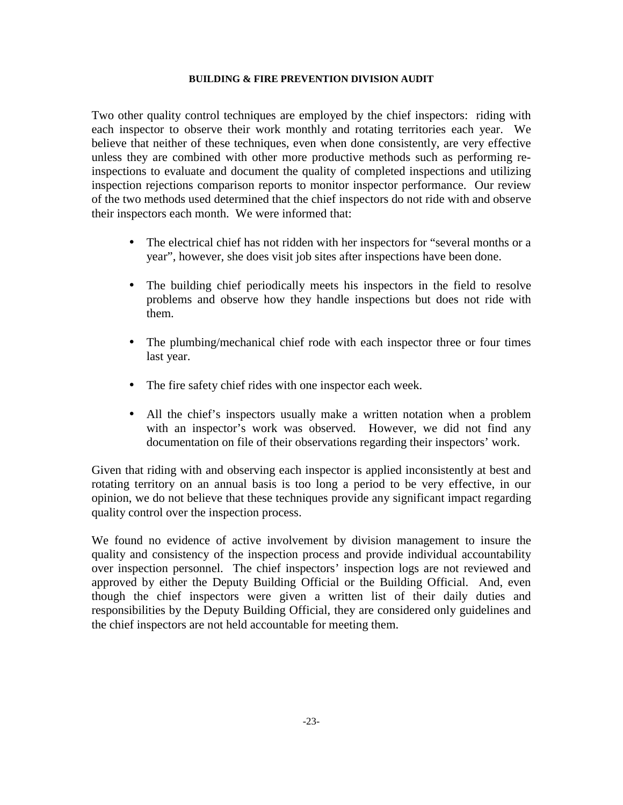Two other quality control techniques are employed by the chief inspectors: riding with each inspector to observe their work monthly and rotating territories each year. We believe that neither of these techniques, even when done consistently, are very effective unless they are combined with other more productive methods such as performing reinspections to evaluate and document the quality of completed inspections and utilizing inspection rejections comparison reports to monitor inspector performance. Our review of the two methods used determined that the chief inspectors do not ride with and observe their inspectors each month. We were informed that:

- The electrical chief has not ridden with her inspectors for "several months or a year", however, she does visit job sites after inspections have been done.
- The building chief periodically meets his inspectors in the field to resolve problems and observe how they handle inspections but does not ride with them.
- The plumbing/mechanical chief rode with each inspector three or four times last year.
- The fire safety chief rides with one inspector each week.
- All the chief's inspectors usually make a written notation when a problem with an inspector's work was observed. However, we did not find any documentation on file of their observations regarding their inspectors' work.

Given that riding with and observing each inspector is applied inconsistently at best and rotating territory on an annual basis is too long a period to be very effective, in our opinion, we do not believe that these techniques provide any significant impact regarding quality control over the inspection process.

We found no evidence of active involvement by division management to insure the quality and consistency of the inspection process and provide individual accountability over inspection personnel. The chief inspectors' inspection logs are not reviewed and approved by either the Deputy Building Official or the Building Official. And, even though the chief inspectors were given a written list of their daily duties and responsibilities by the Deputy Building Official, they are considered only guidelines and the chief inspectors are not held accountable for meeting them.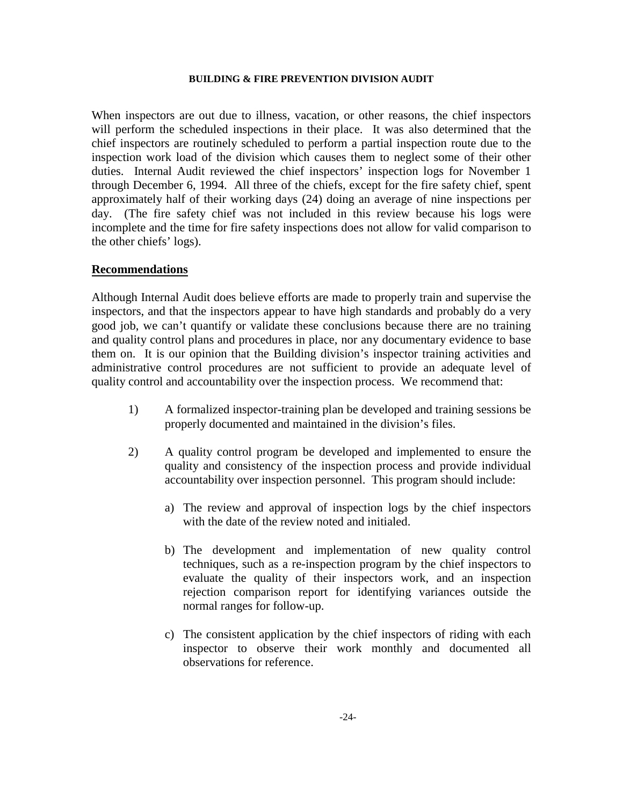When inspectors are out due to illness, vacation, or other reasons, the chief inspectors will perform the scheduled inspections in their place. It was also determined that the chief inspectors are routinely scheduled to perform a partial inspection route due to the inspection work load of the division which causes them to neglect some of their other duties. Internal Audit reviewed the chief inspectors' inspection logs for November 1 through December 6, 1994. All three of the chiefs, except for the fire safety chief, spent approximately half of their working days (24) doing an average of nine inspections per day. (The fire safety chief was not included in this review because his logs were incomplete and the time for fire safety inspections does not allow for valid comparison to the other chiefs' logs).

#### **Recommendations**

Although Internal Audit does believe efforts are made to properly train and supervise the inspectors, and that the inspectors appear to have high standards and probably do a very good job, we can't quantify or validate these conclusions because there are no training and quality control plans and procedures in place, nor any documentary evidence to base them on. It is our opinion that the Building division's inspector training activities and administrative control procedures are not sufficient to provide an adequate level of quality control and accountability over the inspection process. We recommend that:

- 1) A formalized inspector-training plan be developed and training sessions be properly documented and maintained in the division's files.
- 2) A quality control program be developed and implemented to ensure the quality and consistency of the inspection process and provide individual accountability over inspection personnel. This program should include:
	- a) The review and approval of inspection logs by the chief inspectors with the date of the review noted and initialed.
	- b) The development and implementation of new quality control techniques, such as a re-inspection program by the chief inspectors to evaluate the quality of their inspectors work, and an inspection rejection comparison report for identifying variances outside the normal ranges for follow-up.
	- c) The consistent application by the chief inspectors of riding with each inspector to observe their work monthly and documented all observations for reference.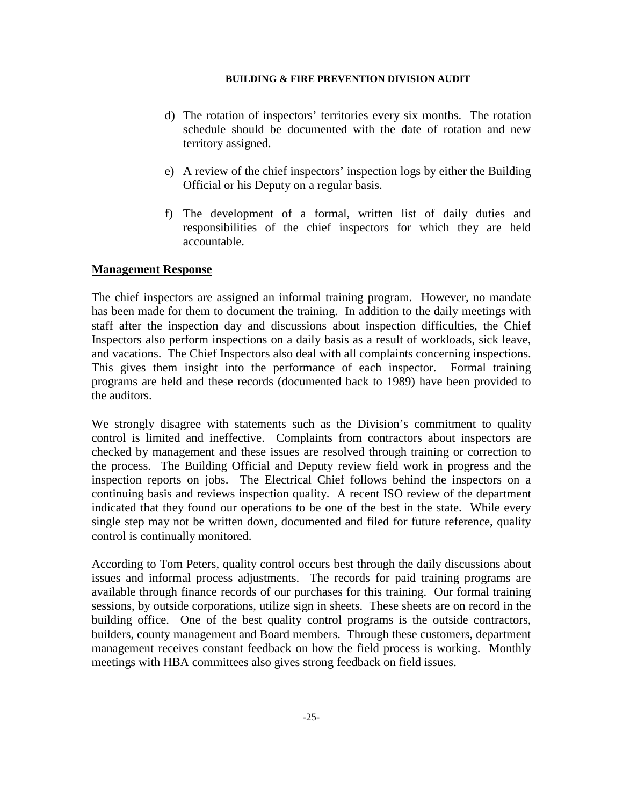- d) The rotation of inspectors' territories every six months. The rotation schedule should be documented with the date of rotation and new territory assigned.
- e) A review of the chief inspectors' inspection logs by either the Building Official or his Deputy on a regular basis.
- f) The development of a formal, written list of daily duties and responsibilities of the chief inspectors for which they are held accountable.

# **Management Response**

The chief inspectors are assigned an informal training program. However, no mandate has been made for them to document the training. In addition to the daily meetings with staff after the inspection day and discussions about inspection difficulties, the Chief Inspectors also perform inspections on a daily basis as a result of workloads, sick leave, and vacations. The Chief Inspectors also deal with all complaints concerning inspections. This gives them insight into the performance of each inspector. Formal training programs are held and these records (documented back to 1989) have been provided to the auditors.

We strongly disagree with statements such as the Division's commitment to quality control is limited and ineffective. Complaints from contractors about inspectors are checked by management and these issues are resolved through training or correction to the process. The Building Official and Deputy review field work in progress and the inspection reports on jobs. The Electrical Chief follows behind the inspectors on a continuing basis and reviews inspection quality. A recent ISO review of the department indicated that they found our operations to be one of the best in the state. While every single step may not be written down, documented and filed for future reference, quality control is continually monitored.

According to Tom Peters, quality control occurs best through the daily discussions about issues and informal process adjustments. The records for paid training programs are available through finance records of our purchases for this training. Our formal training sessions, by outside corporations, utilize sign in sheets. These sheets are on record in the building office. One of the best quality control programs is the outside contractors, builders, county management and Board members. Through these customers, department management receives constant feedback on how the field process is working. Monthly meetings with HBA committees also gives strong feedback on field issues.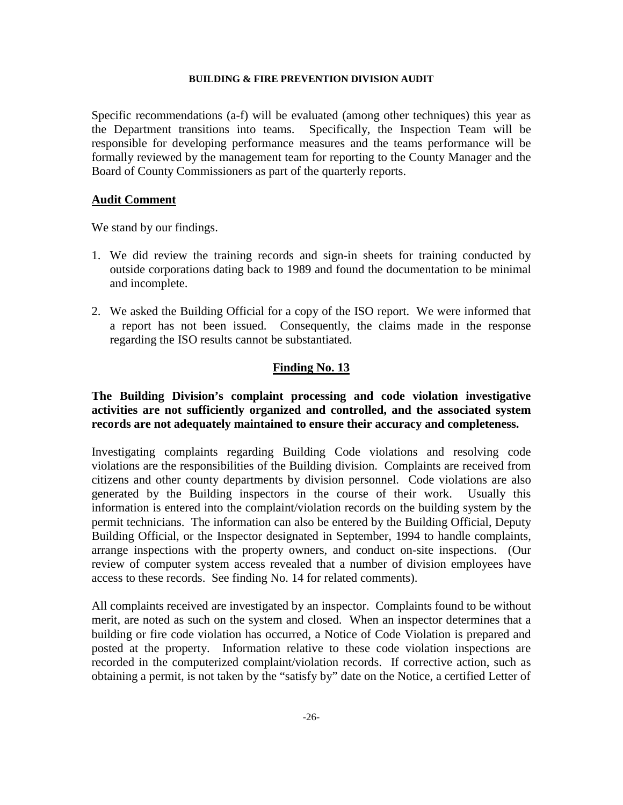Specific recommendations (a-f) will be evaluated (among other techniques) this year as the Department transitions into teams. Specifically, the Inspection Team will be responsible for developing performance measures and the teams performance will be formally reviewed by the management team for reporting to the County Manager and the Board of County Commissioners as part of the quarterly reports.

# **Audit Comment**

We stand by our findings.

- 1. We did review the training records and sign-in sheets for training conducted by outside corporations dating back to 1989 and found the documentation to be minimal and incomplete.
- 2. We asked the Building Official for a copy of the ISO report. We were informed that a report has not been issued. Consequently, the claims made in the response regarding the ISO results cannot be substantiated.

# **Finding No. 13**

# **The Building Division's complaint processing and code violation investigative activities are not sufficiently organized and controlled, and the associated system records are not adequately maintained to ensure their accuracy and completeness.**

Investigating complaints regarding Building Code violations and resolving code violations are the responsibilities of the Building division. Complaints are received from citizens and other county departments by division personnel. Code violations are also generated by the Building inspectors in the course of their work. Usually this information is entered into the complaint/violation records on the building system by the permit technicians. The information can also be entered by the Building Official, Deputy Building Official, or the Inspector designated in September, 1994 to handle complaints, arrange inspections with the property owners, and conduct on-site inspections. (Our review of computer system access revealed that a number of division employees have access to these records. See finding No. 14 for related comments).

All complaints received are investigated by an inspector. Complaints found to be without merit, are noted as such on the system and closed. When an inspector determines that a building or fire code violation has occurred, a Notice of Code Violation is prepared and posted at the property. Information relative to these code violation inspections are recorded in the computerized complaint/violation records. If corrective action, such as obtaining a permit, is not taken by the "satisfy by" date on the Notice, a certified Letter of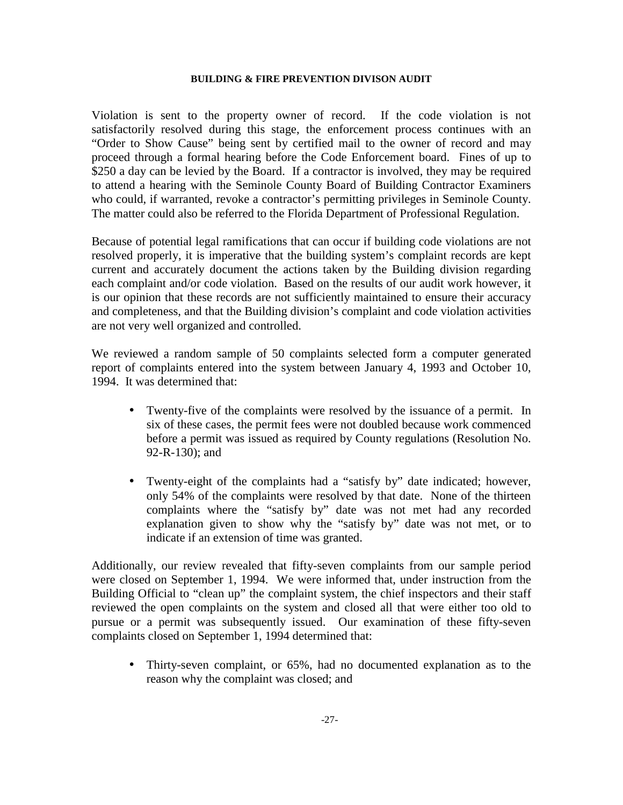Violation is sent to the property owner of record. If the code violation is not satisfactorily resolved during this stage, the enforcement process continues with an "Order to Show Cause" being sent by certified mail to the owner of record and may proceed through a formal hearing before the Code Enforcement board. Fines of up to \$250 a day can be levied by the Board. If a contractor is involved, they may be required to attend a hearing with the Seminole County Board of Building Contractor Examiners who could, if warranted, revoke a contractor's permitting privileges in Seminole County. The matter could also be referred to the Florida Department of Professional Regulation.

Because of potential legal ramifications that can occur if building code violations are not resolved properly, it is imperative that the building system's complaint records are kept current and accurately document the actions taken by the Building division regarding each complaint and/or code violation. Based on the results of our audit work however, it is our opinion that these records are not sufficiently maintained to ensure their accuracy and completeness, and that the Building division's complaint and code violation activities are not very well organized and controlled.

We reviewed a random sample of 50 complaints selected form a computer generated report of complaints entered into the system between January 4, 1993 and October 10, 1994. It was determined that:

- Twenty-five of the complaints were resolved by the issuance of a permit. In six of these cases, the permit fees were not doubled because work commenced before a permit was issued as required by County regulations (Resolution No. 92-R-130); and
- Twenty-eight of the complaints had a "satisfy by" date indicated; however, only 54% of the complaints were resolved by that date. None of the thirteen complaints where the "satisfy by" date was not met had any recorded explanation given to show why the "satisfy by" date was not met, or to indicate if an extension of time was granted.

Additionally, our review revealed that fifty-seven complaints from our sample period were closed on September 1, 1994. We were informed that, under instruction from the Building Official to "clean up" the complaint system, the chief inspectors and their staff reviewed the open complaints on the system and closed all that were either too old to pursue or a permit was subsequently issued. Our examination of these fifty-seven complaints closed on September 1, 1994 determined that:

• Thirty-seven complaint, or 65%, had no documented explanation as to the reason why the complaint was closed; and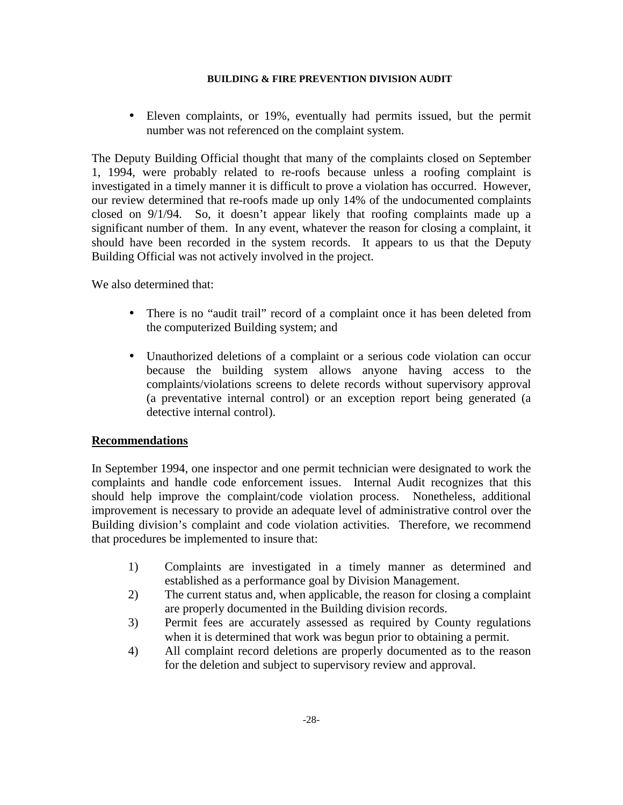• Eleven complaints, or 19%, eventually had permits issued, but the permit number was not referenced on the complaint system.

The Deputy Building Official thought that many of the complaints closed on September 1, 1994, were probably related to re-roofs because unless a roofing complaint is investigated in a timely manner it is difficult to prove a violation has occurred. However, our review determined that re-roofs made up only 14% of the undocumented complaints closed on 9/1/94. So, it doesn't appear likely that roofing complaints made up a significant number of them. In any event, whatever the reason for closing a complaint, it should have been recorded in the system records. It appears to us that the Deputy Building Official was not actively involved in the project.

We also determined that:

- There is no "audit trail" record of a complaint once it has been deleted from the computerized Building system; and
- Unauthorized deletions of a complaint or a serious code violation can occur because the building system allows anyone having access to the complaints/violations screens to delete records without supervisory approval (a preventative internal control) or an exception report being generated (a detective internal control).

# **Recommendations**

In September 1994, one inspector and one permit technician were designated to work the complaints and handle code enforcement issues. Internal Audit recognizes that this should help improve the complaint/code violation process. Nonetheless, additional improvement is necessary to provide an adequate level of administrative control over the Building division's complaint and code violation activities. Therefore, we recommend that procedures be implemented to insure that:

- 1) Complaints are investigated in a timely manner as determined and established as a performance goal by Division Management.
- 2) The current status and, when applicable, the reason for closing a complaint are properly documented in the Building division records.
- 3) Permit fees are accurately assessed as required by County regulations when it is determined that work was begun prior to obtaining a permit.
- 4) All complaint record deletions are properly documented as to the reason for the deletion and subject to supervisory review and approval.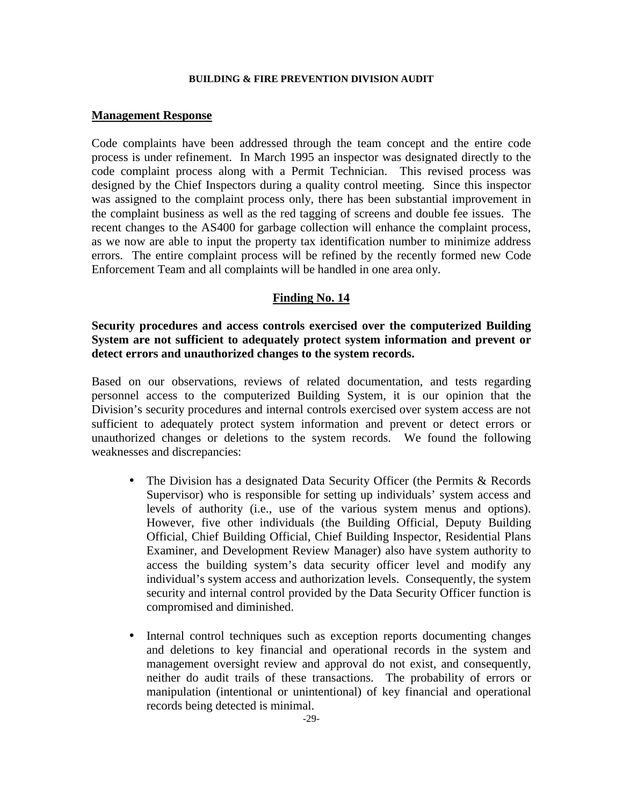#### **Management Response**

Code complaints have been addressed through the team concept and the entire code process is under refinement. In March 1995 an inspector was designated directly to the code complaint process along with a Permit Technician. This revised process was designed by the Chief Inspectors during a quality control meeting. Since this inspector was assigned to the complaint process only, there has been substantial improvement in the complaint business as well as the red tagging of screens and double fee issues. The recent changes to the AS400 for garbage collection will enhance the complaint process, as we now are able to input the property tax identification number to minimize address errors. The entire complaint process will be refined by the recently formed new Code Enforcement Team and all complaints will be handled in one area only.

# **Finding No. 14**

**Security procedures and access controls exercised over the computerized Building System are not sufficient to adequately protect system information and prevent or detect errors and unauthorized changes to the system records.** 

Based on our observations, reviews of related documentation, and tests regarding personnel access to the computerized Building System, it is our opinion that the Division's security procedures and internal controls exercised over system access are not sufficient to adequately protect system information and prevent or detect errors or unauthorized changes or deletions to the system records. We found the following weaknesses and discrepancies:

- The Division has a designated Data Security Officer (the Permits & Records Supervisor) who is responsible for setting up individuals' system access and levels of authority (i.e., use of the various system menus and options). However, five other individuals (the Building Official, Deputy Building Official, Chief Building Official, Chief Building Inspector, Residential Plans Examiner, and Development Review Manager) also have system authority to access the building system's data security officer level and modify any individual's system access and authorization levels. Consequently, the system security and internal control provided by the Data Security Officer function is compromised and diminished.
- Internal control techniques such as exception reports documenting changes and deletions to key financial and operational records in the system and management oversight review and approval do not exist, and consequently, neither do audit trails of these transactions. The probability of errors or manipulation (intentional or unintentional) of key financial and operational records being detected is minimal.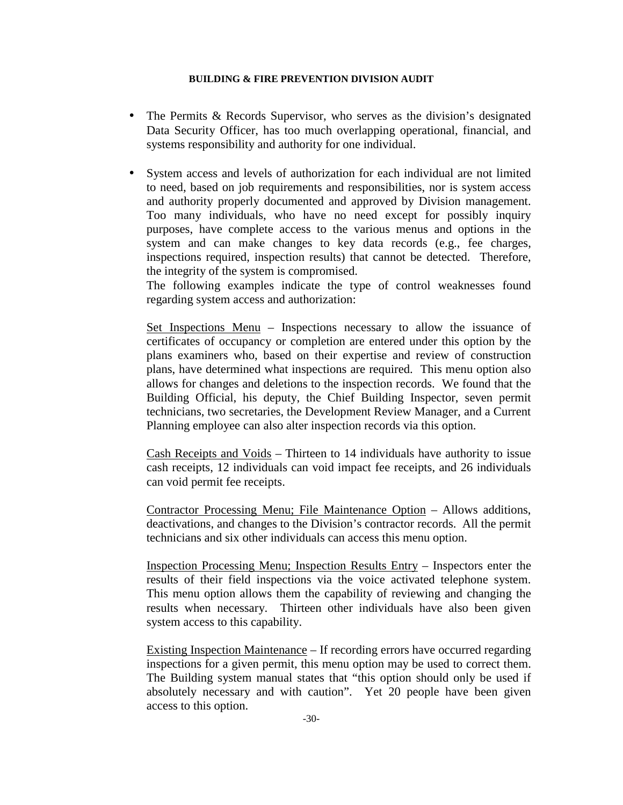- The Permits & Records Supervisor, who serves as the division's designated Data Security Officer, has too much overlapping operational, financial, and systems responsibility and authority for one individual.
- System access and levels of authorization for each individual are not limited to need, based on job requirements and responsibilities, nor is system access and authority properly documented and approved by Division management. Too many individuals, who have no need except for possibly inquiry purposes, have complete access to the various menus and options in the system and can make changes to key data records (e.g., fee charges, inspections required, inspection results) that cannot be detected. Therefore, the integrity of the system is compromised.

The following examples indicate the type of control weaknesses found regarding system access and authorization:

Set Inspections Menu – Inspections necessary to allow the issuance of certificates of occupancy or completion are entered under this option by the plans examiners who, based on their expertise and review of construction plans, have determined what inspections are required. This menu option also allows for changes and deletions to the inspection records. We found that the Building Official, his deputy, the Chief Building Inspector, seven permit technicians, two secretaries, the Development Review Manager, and a Current Planning employee can also alter inspection records via this option.

Cash Receipts and Voids – Thirteen to 14 individuals have authority to issue cash receipts, 12 individuals can void impact fee receipts, and 26 individuals can void permit fee receipts.

Contractor Processing Menu; File Maintenance Option – Allows additions, deactivations, and changes to the Division's contractor records. All the permit technicians and six other individuals can access this menu option.

Inspection Processing Menu; Inspection Results Entry – Inspectors enter the results of their field inspections via the voice activated telephone system. This menu option allows them the capability of reviewing and changing the results when necessary. Thirteen other individuals have also been given system access to this capability.

Existing Inspection Maintenance – If recording errors have occurred regarding inspections for a given permit, this menu option may be used to correct them. The Building system manual states that "this option should only be used if absolutely necessary and with caution". Yet 20 people have been given access to this option.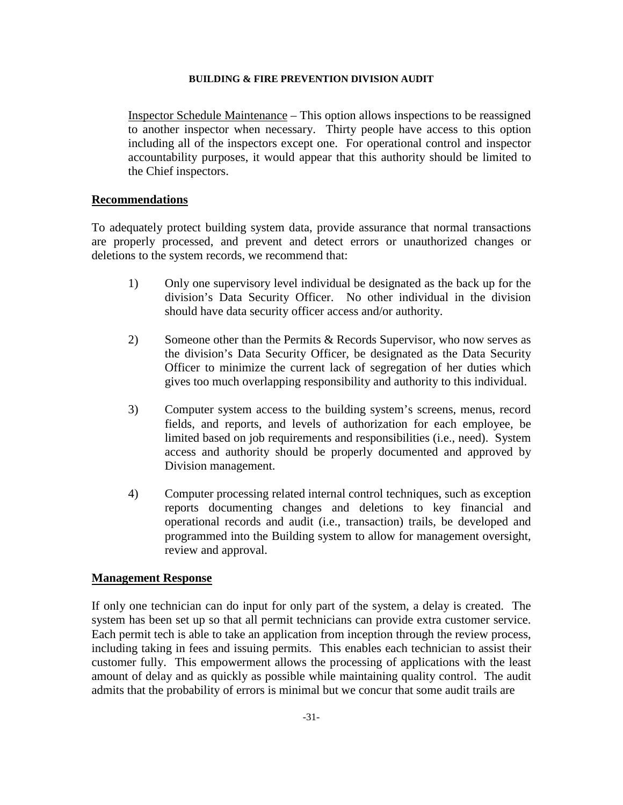Inspector Schedule Maintenance – This option allows inspections to be reassigned to another inspector when necessary. Thirty people have access to this option including all of the inspectors except one. For operational control and inspector accountability purposes, it would appear that this authority should be limited to the Chief inspectors.

#### **Recommendations**

To adequately protect building system data, provide assurance that normal transactions are properly processed, and prevent and detect errors or unauthorized changes or deletions to the system records, we recommend that:

- 1) Only one supervisory level individual be designated as the back up for the division's Data Security Officer. No other individual in the division should have data security officer access and/or authority.
- 2) Someone other than the Permits & Records Supervisor, who now serves as the division's Data Security Officer, be designated as the Data Security Officer to minimize the current lack of segregation of her duties which gives too much overlapping responsibility and authority to this individual.
- 3) Computer system access to the building system's screens, menus, record fields, and reports, and levels of authorization for each employee, be limited based on job requirements and responsibilities (i.e., need). System access and authority should be properly documented and approved by Division management.
- 4) Computer processing related internal control techniques, such as exception reports documenting changes and deletions to key financial and operational records and audit (i.e., transaction) trails, be developed and programmed into the Building system to allow for management oversight, review and approval.

## **Management Response**

If only one technician can do input for only part of the system, a delay is created. The system has been set up so that all permit technicians can provide extra customer service. Each permit tech is able to take an application from inception through the review process, including taking in fees and issuing permits. This enables each technician to assist their customer fully. This empowerment allows the processing of applications with the least amount of delay and as quickly as possible while maintaining quality control. The audit admits that the probability of errors is minimal but we concur that some audit trails are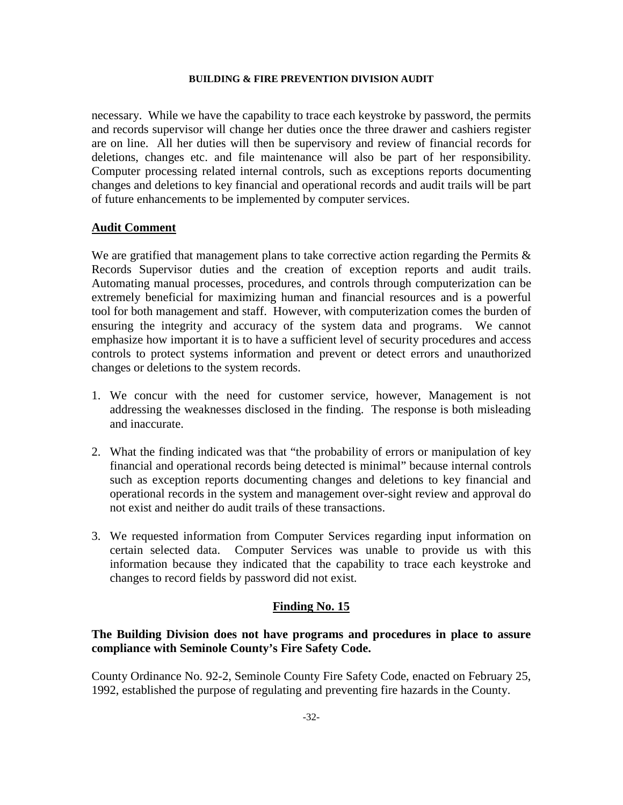necessary. While we have the capability to trace each keystroke by password, the permits and records supervisor will change her duties once the three drawer and cashiers register are on line. All her duties will then be supervisory and review of financial records for deletions, changes etc. and file maintenance will also be part of her responsibility. Computer processing related internal controls, such as exceptions reports documenting changes and deletions to key financial and operational records and audit trails will be part of future enhancements to be implemented by computer services.

# **Audit Comment**

We are gratified that management plans to take corrective action regarding the Permits  $\&$ Records Supervisor duties and the creation of exception reports and audit trails. Automating manual processes, procedures, and controls through computerization can be extremely beneficial for maximizing human and financial resources and is a powerful tool for both management and staff. However, with computerization comes the burden of ensuring the integrity and accuracy of the system data and programs. We cannot emphasize how important it is to have a sufficient level of security procedures and access controls to protect systems information and prevent or detect errors and unauthorized changes or deletions to the system records.

- 1. We concur with the need for customer service, however, Management is not addressing the weaknesses disclosed in the finding. The response is both misleading and inaccurate.
- 2. What the finding indicated was that "the probability of errors or manipulation of key financial and operational records being detected is minimal" because internal controls such as exception reports documenting changes and deletions to key financial and operational records in the system and management over-sight review and approval do not exist and neither do audit trails of these transactions.
- 3. We requested information from Computer Services regarding input information on certain selected data. Computer Services was unable to provide us with this information because they indicated that the capability to trace each keystroke and changes to record fields by password did not exist.

#### **Finding No. 15**

# **The Building Division does not have programs and procedures in place to assure compliance with Seminole County's Fire Safety Code.**

County Ordinance No. 92-2, Seminole County Fire Safety Code, enacted on February 25, 1992, established the purpose of regulating and preventing fire hazards in the County.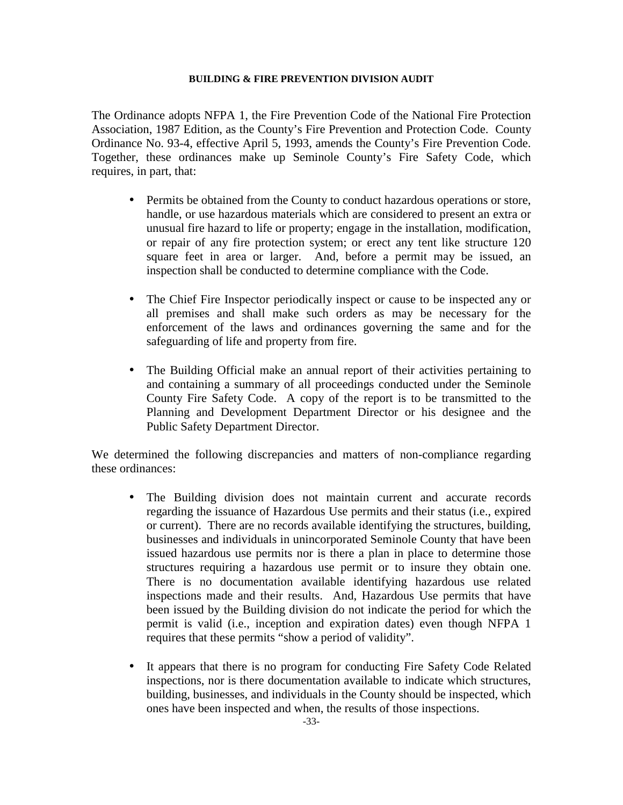The Ordinance adopts NFPA 1, the Fire Prevention Code of the National Fire Protection Association, 1987 Edition, as the County's Fire Prevention and Protection Code. County Ordinance No. 93-4, effective April 5, 1993, amends the County's Fire Prevention Code. Together, these ordinances make up Seminole County's Fire Safety Code, which requires, in part, that:

- Permits be obtained from the County to conduct hazardous operations or store, handle, or use hazardous materials which are considered to present an extra or unusual fire hazard to life or property; engage in the installation, modification, or repair of any fire protection system; or erect any tent like structure 120 square feet in area or larger. And, before a permit may be issued, an inspection shall be conducted to determine compliance with the Code.
- The Chief Fire Inspector periodically inspect or cause to be inspected any or all premises and shall make such orders as may be necessary for the enforcement of the laws and ordinances governing the same and for the safeguarding of life and property from fire.
- The Building Official make an annual report of their activities pertaining to and containing a summary of all proceedings conducted under the Seminole County Fire Safety Code. A copy of the report is to be transmitted to the Planning and Development Department Director or his designee and the Public Safety Department Director.

We determined the following discrepancies and matters of non-compliance regarding these ordinances:

- The Building division does not maintain current and accurate records regarding the issuance of Hazardous Use permits and their status (i.e., expired or current). There are no records available identifying the structures, building, businesses and individuals in unincorporated Seminole County that have been issued hazardous use permits nor is there a plan in place to determine those structures requiring a hazardous use permit or to insure they obtain one. There is no documentation available identifying hazardous use related inspections made and their results. And, Hazardous Use permits that have been issued by the Building division do not indicate the period for which the permit is valid (i.e., inception and expiration dates) even though NFPA 1 requires that these permits "show a period of validity".
- It appears that there is no program for conducting Fire Safety Code Related inspections, nor is there documentation available to indicate which structures, building, businesses, and individuals in the County should be inspected, which ones have been inspected and when, the results of those inspections.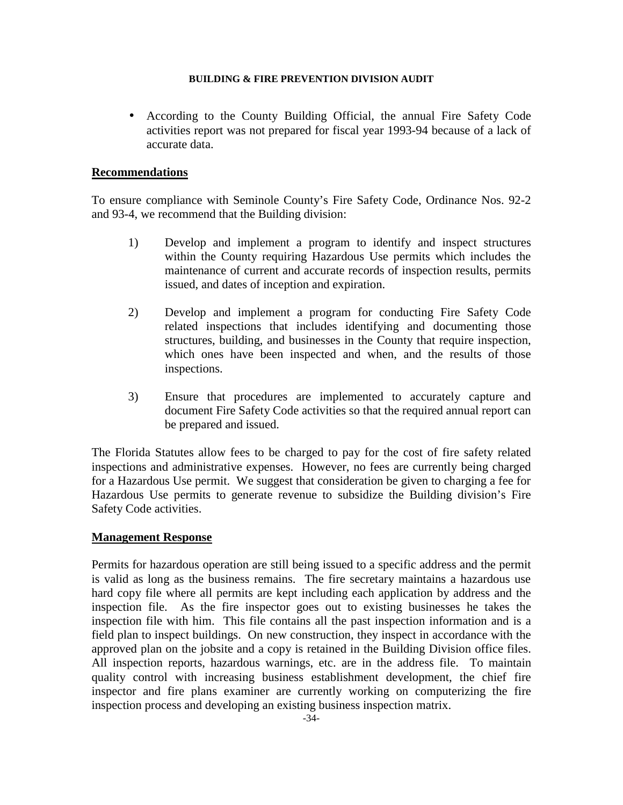• According to the County Building Official, the annual Fire Safety Code activities report was not prepared for fiscal year 1993-94 because of a lack of accurate data.

# **Recommendations**

To ensure compliance with Seminole County's Fire Safety Code, Ordinance Nos. 92-2 and 93-4, we recommend that the Building division:

- 1) Develop and implement a program to identify and inspect structures within the County requiring Hazardous Use permits which includes the maintenance of current and accurate records of inspection results, permits issued, and dates of inception and expiration.
- 2) Develop and implement a program for conducting Fire Safety Code related inspections that includes identifying and documenting those structures, building, and businesses in the County that require inspection, which ones have been inspected and when, and the results of those inspections.
- 3) Ensure that procedures are implemented to accurately capture and document Fire Safety Code activities so that the required annual report can be prepared and issued.

The Florida Statutes allow fees to be charged to pay for the cost of fire safety related inspections and administrative expenses. However, no fees are currently being charged for a Hazardous Use permit. We suggest that consideration be given to charging a fee for Hazardous Use permits to generate revenue to subsidize the Building division's Fire Safety Code activities.

# **Management Response**

Permits for hazardous operation are still being issued to a specific address and the permit is valid as long as the business remains. The fire secretary maintains a hazardous use hard copy file where all permits are kept including each application by address and the inspection file. As the fire inspector goes out to existing businesses he takes the inspection file with him. This file contains all the past inspection information and is a field plan to inspect buildings. On new construction, they inspect in accordance with the approved plan on the jobsite and a copy is retained in the Building Division office files. All inspection reports, hazardous warnings, etc. are in the address file. To maintain quality control with increasing business establishment development, the chief fire inspector and fire plans examiner are currently working on computerizing the fire inspection process and developing an existing business inspection matrix.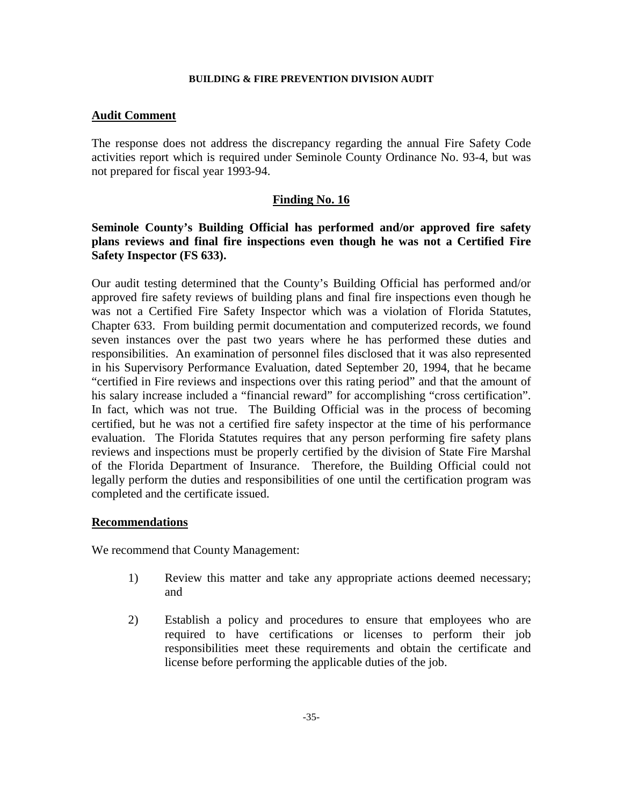# **Audit Comment**

The response does not address the discrepancy regarding the annual Fire Safety Code activities report which is required under Seminole County Ordinance No. 93-4, but was not prepared for fiscal year 1993-94.

# **Finding No. 16**

# **Seminole County's Building Official has performed and/or approved fire safety plans reviews and final fire inspections even though he was not a Certified Fire Safety Inspector (FS 633).**

Our audit testing determined that the County's Building Official has performed and/or approved fire safety reviews of building plans and final fire inspections even though he was not a Certified Fire Safety Inspector which was a violation of Florida Statutes, Chapter 633. From building permit documentation and computerized records, we found seven instances over the past two years where he has performed these duties and responsibilities. An examination of personnel files disclosed that it was also represented in his Supervisory Performance Evaluation, dated September 20, 1994, that he became "certified in Fire reviews and inspections over this rating period" and that the amount of his salary increase included a "financial reward" for accomplishing "cross certification". In fact, which was not true. The Building Official was in the process of becoming certified, but he was not a certified fire safety inspector at the time of his performance evaluation. The Florida Statutes requires that any person performing fire safety plans reviews and inspections must be properly certified by the division of State Fire Marshal of the Florida Department of Insurance. Therefore, the Building Official could not legally perform the duties and responsibilities of one until the certification program was completed and the certificate issued.

# **Recommendations**

We recommend that County Management:

- 1) Review this matter and take any appropriate actions deemed necessary; and
- 2) Establish a policy and procedures to ensure that employees who are required to have certifications or licenses to perform their job responsibilities meet these requirements and obtain the certificate and license before performing the applicable duties of the job.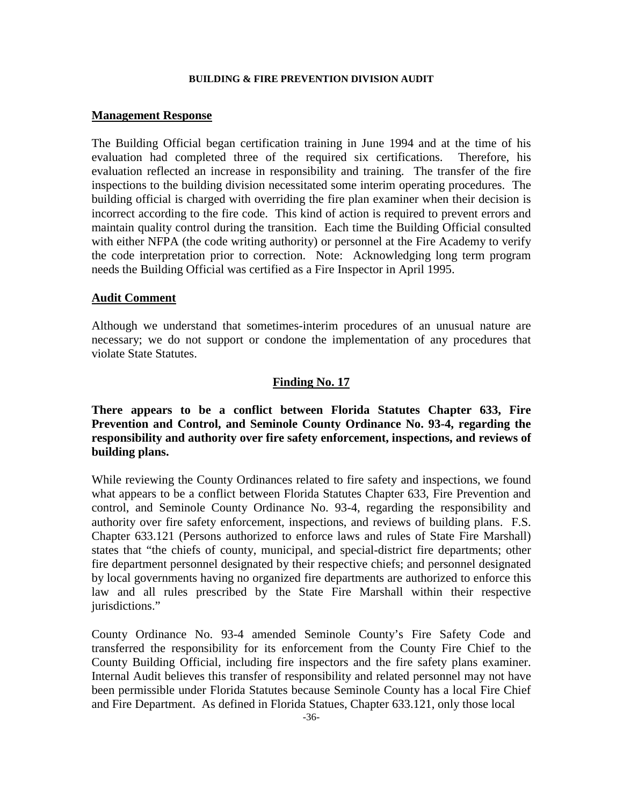#### **Management Response**

The Building Official began certification training in June 1994 and at the time of his evaluation had completed three of the required six certifications. Therefore, his evaluation reflected an increase in responsibility and training. The transfer of the fire inspections to the building division necessitated some interim operating procedures. The building official is charged with overriding the fire plan examiner when their decision is incorrect according to the fire code. This kind of action is required to prevent errors and maintain quality control during the transition. Each time the Building Official consulted with either NFPA (the code writing authority) or personnel at the Fire Academy to verify the code interpretation prior to correction. Note: Acknowledging long term program needs the Building Official was certified as a Fire Inspector in April 1995.

# **Audit Comment**

Although we understand that sometimes-interim procedures of an unusual nature are necessary; we do not support or condone the implementation of any procedures that violate State Statutes.

# **Finding No. 17**

**There appears to be a conflict between Florida Statutes Chapter 633, Fire Prevention and Control, and Seminole County Ordinance No. 93-4, regarding the responsibility and authority over fire safety enforcement, inspections, and reviews of building plans.** 

While reviewing the County Ordinances related to fire safety and inspections, we found what appears to be a conflict between Florida Statutes Chapter 633, Fire Prevention and control, and Seminole County Ordinance No. 93-4, regarding the responsibility and authority over fire safety enforcement, inspections, and reviews of building plans. F.S. Chapter 633.121 (Persons authorized to enforce laws and rules of State Fire Marshall) states that "the chiefs of county, municipal, and special-district fire departments; other fire department personnel designated by their respective chiefs; and personnel designated by local governments having no organized fire departments are authorized to enforce this law and all rules prescribed by the State Fire Marshall within their respective iurisdictions."

County Ordinance No. 93-4 amended Seminole County's Fire Safety Code and transferred the responsibility for its enforcement from the County Fire Chief to the County Building Official, including fire inspectors and the fire safety plans examiner. Internal Audit believes this transfer of responsibility and related personnel may not have been permissible under Florida Statutes because Seminole County has a local Fire Chief and Fire Department. As defined in Florida Statues, Chapter 633.121, only those local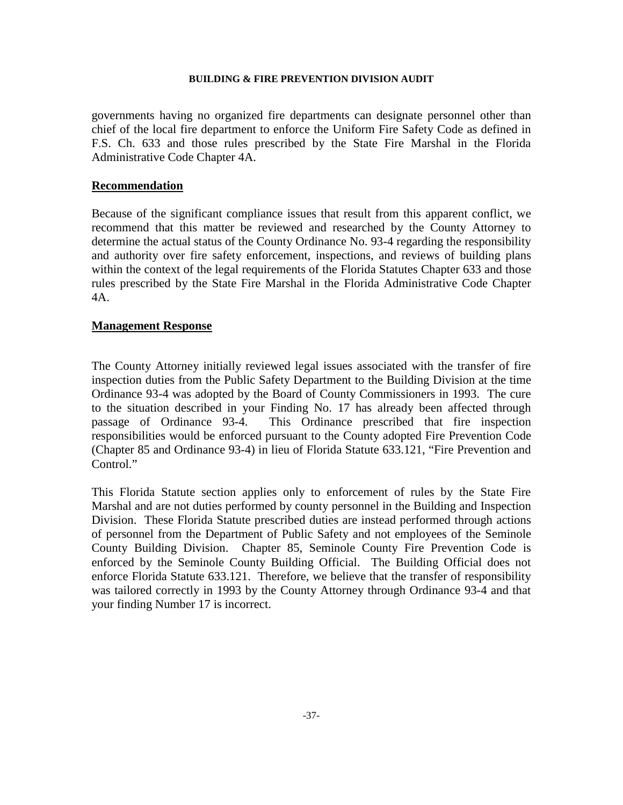governments having no organized fire departments can designate personnel other than chief of the local fire department to enforce the Uniform Fire Safety Code as defined in F.S. Ch. 633 and those rules prescribed by the State Fire Marshal in the Florida Administrative Code Chapter 4A.

#### **Recommendation**

Because of the significant compliance issues that result from this apparent conflict, we recommend that this matter be reviewed and researched by the County Attorney to determine the actual status of the County Ordinance No. 93-4 regarding the responsibility and authority over fire safety enforcement, inspections, and reviews of building plans within the context of the legal requirements of the Florida Statutes Chapter 633 and those rules prescribed by the State Fire Marshal in the Florida Administrative Code Chapter 4A.

# **Management Response**

The County Attorney initially reviewed legal issues associated with the transfer of fire inspection duties from the Public Safety Department to the Building Division at the time Ordinance 93-4 was adopted by the Board of County Commissioners in 1993. The cure to the situation described in your Finding No. 17 has already been affected through passage of Ordinance 93-4. This Ordinance prescribed that fire inspection responsibilities would be enforced pursuant to the County adopted Fire Prevention Code (Chapter 85 and Ordinance 93-4) in lieu of Florida Statute 633.121, "Fire Prevention and Control."

This Florida Statute section applies only to enforcement of rules by the State Fire Marshal and are not duties performed by county personnel in the Building and Inspection Division. These Florida Statute prescribed duties are instead performed through actions of personnel from the Department of Public Safety and not employees of the Seminole County Building Division. Chapter 85, Seminole County Fire Prevention Code is enforced by the Seminole County Building Official. The Building Official does not enforce Florida Statute 633.121. Therefore, we believe that the transfer of responsibility was tailored correctly in 1993 by the County Attorney through Ordinance 93-4 and that your finding Number 17 is incorrect.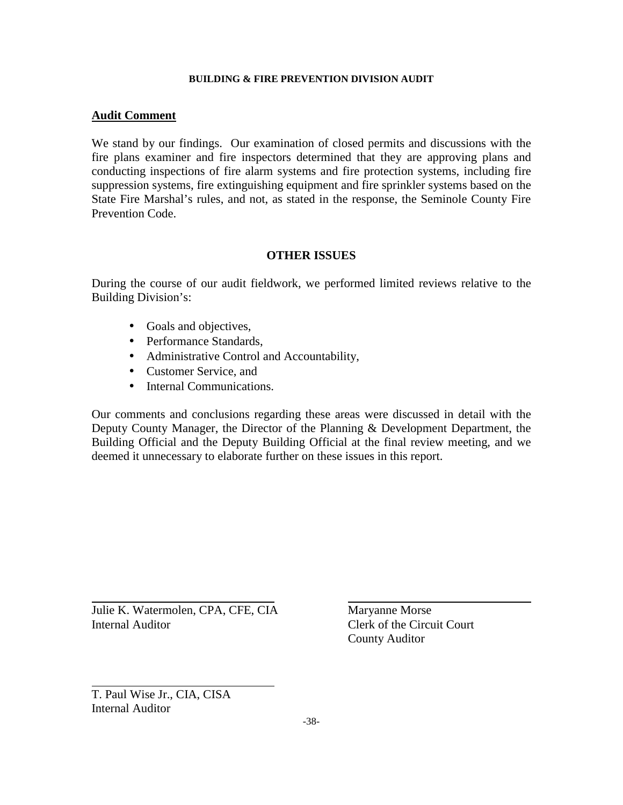# **Audit Comment**

We stand by our findings. Our examination of closed permits and discussions with the fire plans examiner and fire inspectors determined that they are approving plans and conducting inspections of fire alarm systems and fire protection systems, including fire suppression systems, fire extinguishing equipment and fire sprinkler systems based on the State Fire Marshal's rules, and not, as stated in the response, the Seminole County Fire Prevention Code.

# **OTHER ISSUES**

During the course of our audit fieldwork, we performed limited reviews relative to the Building Division's:

- Goals and objectives,
- Performance Standards,
- Administrative Control and Accountability,
- Customer Service, and
- Internal Communications.

Our comments and conclusions regarding these areas were discussed in detail with the Deputy County Manager, the Director of the Planning & Development Department, the Building Official and the Deputy Building Official at the final review meeting, and we deemed it unnecessary to elaborate further on these issues in this report.

Julie K. Watermolen, CPA, CFE, CIA Maryanne Morse Internal Auditor Clerk of the Circuit Court

County Auditor

T. Paul Wise Jr., CIA, CISA Internal Auditor

l

 $\overline{a}$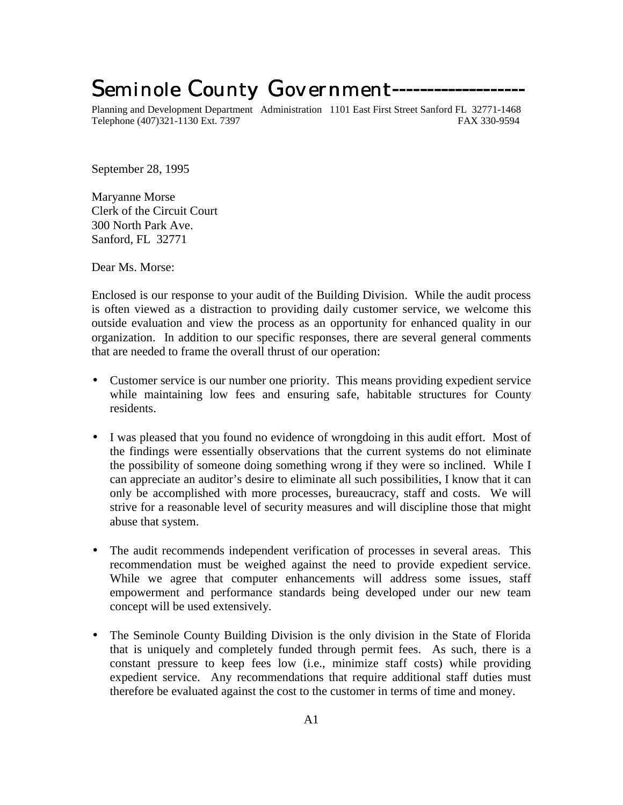# Seminole County Government--------

Planning and Development Department Administration 1101 East First Street Sanford FL 32771-1468 Telephone (407)321-1130 Ext. 7397 FAX 330-9594

September 28, 1995

Maryanne Morse Clerk of the Circuit Court 300 North Park Ave. Sanford, FL 32771

Dear Ms. Morse:

Enclosed is our response to your audit of the Building Division. While the audit process is often viewed as a distraction to providing daily customer service, we welcome this outside evaluation and view the process as an opportunity for enhanced quality in our organization. In addition to our specific responses, there are several general comments that are needed to frame the overall thrust of our operation:

- Customer service is our number one priority. This means providing expedient service while maintaining low fees and ensuring safe, habitable structures for County residents.
- I was pleased that you found no evidence of wrongdoing in this audit effort. Most of the findings were essentially observations that the current systems do not eliminate the possibility of someone doing something wrong if they were so inclined. While I can appreciate an auditor's desire to eliminate all such possibilities, I know that it can only be accomplished with more processes, bureaucracy, staff and costs. We will strive for a reasonable level of security measures and will discipline those that might abuse that system.
- The audit recommends independent verification of processes in several areas. This recommendation must be weighed against the need to provide expedient service. While we agree that computer enhancements will address some issues, staff empowerment and performance standards being developed under our new team concept will be used extensively.
- The Seminole County Building Division is the only division in the State of Florida that is uniquely and completely funded through permit fees. As such, there is a constant pressure to keep fees low (i.e., minimize staff costs) while providing expedient service. Any recommendations that require additional staff duties must therefore be evaluated against the cost to the customer in terms of time and money.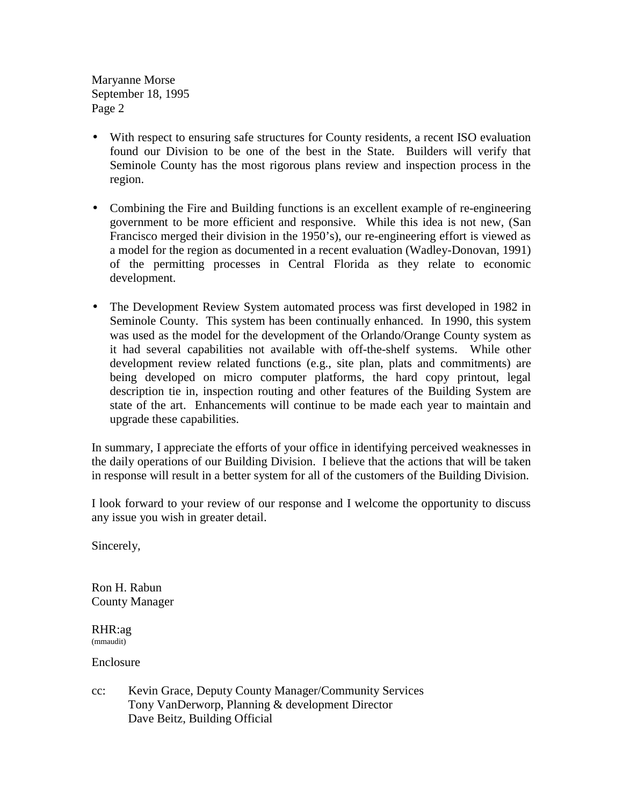Maryanne Morse September 18, 1995 Page 2

- With respect to ensuring safe structures for County residents, a recent ISO evaluation found our Division to be one of the best in the State. Builders will verify that Seminole County has the most rigorous plans review and inspection process in the region.
- Combining the Fire and Building functions is an excellent example of re-engineering government to be more efficient and responsive. While this idea is not new, (San Francisco merged their division in the 1950's), our re-engineering effort is viewed as a model for the region as documented in a recent evaluation (Wadley-Donovan, 1991) of the permitting processes in Central Florida as they relate to economic development.
- The Development Review System automated process was first developed in 1982 in Seminole County. This system has been continually enhanced. In 1990, this system was used as the model for the development of the Orlando/Orange County system as it had several capabilities not available with off-the-shelf systems. While other development review related functions (e.g., site plan, plats and commitments) are being developed on micro computer platforms, the hard copy printout, legal description tie in, inspection routing and other features of the Building System are state of the art. Enhancements will continue to be made each year to maintain and upgrade these capabilities.

In summary, I appreciate the efforts of your office in identifying perceived weaknesses in the daily operations of our Building Division. I believe that the actions that will be taken in response will result in a better system for all of the customers of the Building Division.

I look forward to your review of our response and I welcome the opportunity to discuss any issue you wish in greater detail.

Sincerely,

Ron H. Rabun County Manager

RHR:ag (mmaudit)

Enclosure

cc: Kevin Grace, Deputy County Manager/Community Services Tony VanDerworp, Planning & development Director Dave Beitz, Building Official